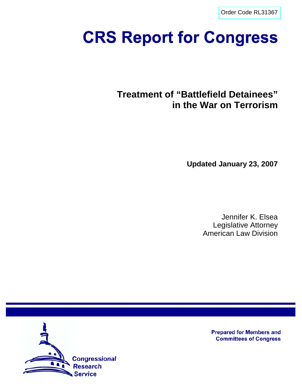[Order Code RL31367](http://www.fas.org/sgp/crs/terror/index.html)

# **CRS Report for Congress**

# **Treatment of "Battlefield Detainees" in the War on Terrorism**

**Updated January 23, 2007**

Jennifer K. Elsea Legislative Attorney American Law Division



**Prepared for Members and Committees of Congress**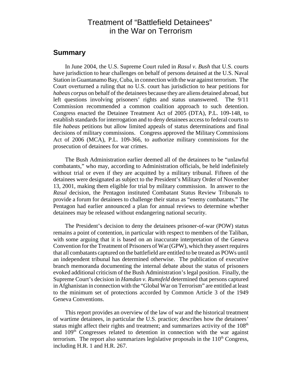## Treatment of "Battlefield Detainees" in the War on Terrorism

## **Summary**

In June 2004, the U.S. Supreme Court ruled in *Rasul v. Bush* that U.S. courts have jurisdiction to hear challenges on behalf of persons detained at the U.S. Naval Station in Guantanamo Bay, Cuba, in connection with the war against terrorism. The Court overturned a ruling that no U.S. court has jurisdiction to hear petitions for *habeas corpus* on behalf of the detainees because they are aliens detained abroad, but left questions involving prisoners' rights and status unanswered. The 9/11 Commission recommended a common coalition approach to such detention. Congress enacted the Detainee Treatment Act of 2005 (DTA), P.L. 109-148, to establish standards for interrogation and to deny detainees access to federal courts to file *habeas* petitions but allow limited appeals of status determinations and final decisions of military commissions. Congress approved the Military Commissions Act of 2006 (MCA), P.L. 109-366, to authorize military commissions for the prosecution of detainees for war crimes.

The Bush Administration earlier deemed all of the detainees to be "unlawful combatants," who may, according to Administration officials, be held indefinitely without trial or even if they are acquitted by a military tribunal. Fifteen of the detainees were designated as subject to the President's Military Order of November 13, 2001, making them eligible for trial by military commission. In answer to the *Rasul* decision, the Pentagon instituted Combatant Status Review Tribunals to provide a forum for detainees to challenge their status as "enemy combatants." The Pentagon had earlier announced a plan for annual reviews to determine whether detainees may be released without endangering national security.

The President's decision to deny the detainees prisoner-of-war (POW) status remains a point of contention, in particular with respect to members of the Taliban, with some arguing that it is based on an inaccurate interpretation of the Geneva Convention for the Treatment of Prisoners of War (GPW), which they assert requires that all combatants captured on the battlefield are entitled to be treated as POWs until an independent tribunal has determined otherwise. The publication of executive branch memoranda documenting the internal debate about the status of prisoners evoked additional criticism of the Bush Administration's legal position. Finally, the Supreme Court's decision in *Hamdan v. Rumsfeld* determined that persons captured in Afghanistan in connection with the "Global War on Terrorism" are entitled at least to the minimum set of protections accorded by Common Article 3 of the 1949 Geneva Conventions.

This report provides an overview of the law of war and the historical treatment of wartime detainees, in particular the U.S. practice; describes how the detainees' status might affect their rights and treatment; and summarizes activity of the  $108<sup>th</sup>$ and 109<sup>th</sup> Congresses related to detention in connection with the war against terrorism. The report also summarizes legislative proposals in the  $110<sup>th</sup>$  Congress, including H.R. 1 and H.R. 267.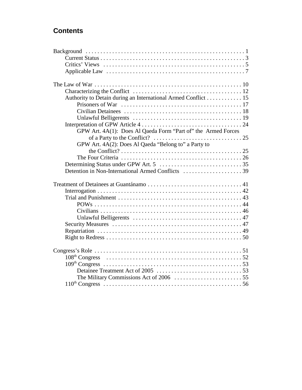## **Contents**

| Authority to Detain during an International Armed Conflict 15 |
|---------------------------------------------------------------|
|                                                               |
|                                                               |
|                                                               |
|                                                               |
| GPW Art. 4A(1): Does Al Qaeda Form "Part of" the Armed Forces |
|                                                               |
| GPW Art. 4A(2): Does Al Qaeda "Belong to" a Party to          |
|                                                               |
|                                                               |
|                                                               |
|                                                               |
|                                                               |
|                                                               |
|                                                               |
|                                                               |
|                                                               |
|                                                               |
|                                                               |
|                                                               |
|                                                               |
|                                                               |
|                                                               |
|                                                               |
|                                                               |
|                                                               |
|                                                               |
|                                                               |
|                                                               |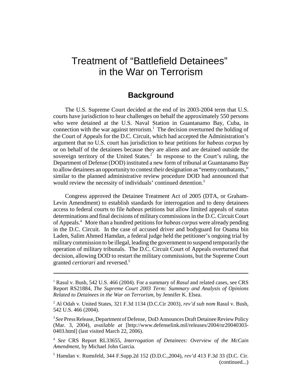## Treatment of "Battlefield Detainees" in the War on Terrorism

## **Background**

The U.S. Supreme Court decided at the end of its 2003-2004 term that U.S. courts have jurisdiction to hear challenges on behalf the approximately 550 persons who were detained at the U.S. Naval Station in Guantanamo Bay, Cuba, in connection with the war against terrorism.<sup>1</sup> The decision overturned the holding of the Court of Appeals for the D.C. Circuit, which had accepted the Administration's argument that no U.S. court has jurisdiction to hear petitions for *habeas corpus* by or on behalf of the detainees because they are aliens and are detained outside the sovereign territory of the United States. $2$  In response to the Court's ruling, the Department of Defense (DOD) instituted a new form of tribunal at Guantanamo Bay to allow detainees an opportunity to contest their designation as "enemy combatants," similar to the planned administrative review procedure DOD had announced that would review the necessity of individuals' continued detention.<sup>3</sup>

Congress approved the Detainee Treatment Act of 2005 (DTA, or Graham-Levin Amendment) to establish standards for interrogation and to deny detainees access to federal courts to file *habeas* petitions but allow limited appeals of status determinations and final decisions of military commissions in the D.C. Circuit Court of Appeals.4 More than a hundred petitions for *habeas corpus* were already pending in the D.C. Circuit. In the case of accused driver and bodyguard for Osama bin Laden, Salim Ahmed Hamdan, a federal judge held the petitioner's ongoing trial by military commission to be illegal, leading the government to suspend temporarily the operation of military tribunals. The D.C. Circuit Court of Appeals overturned that decision, allowing DOD to restart the military commissions, but the Supreme Court granted *certiorari* and reversed.5

<sup>1</sup> Rasul v. Bush, 542 U.S. 466 (2004). For a summary of *Rasul* and related cases, see CRS Report RS21884, *The Supreme Court 2003 Term: Summary and Analysis of Opinions Related to Detainees in the War on Terrorism*, by Jennifer K. Elsea.

<sup>2</sup> Al Odah v. United States, 321 F.3d 1134 (D.C.Cir 2003), *rev'd sub nom* Rasul v. Bush, 542 U.S. 466 (2004).

<sup>&</sup>lt;sup>3</sup> See Press Release, Department of Defense, DoD Announces Draft Detainee Review Policy (Mar. 3, 2004), *available at* [http://www.defenselink.mil/releases/2004/nr20040303- 0403.html] (last visited March 22, 2006).

<sup>4</sup> *See* CRS Report RL33655, *Interrogation of Detainees: Overview of the McCain Amendment*, by Michael John Garcia.

<sup>5</sup> Hamdan v. Rumsfeld, 344 F.Supp.2d 152 (D.D.C.,2004), *rev'd* 413 F.3d 33 (D.C. Cir. (continued...)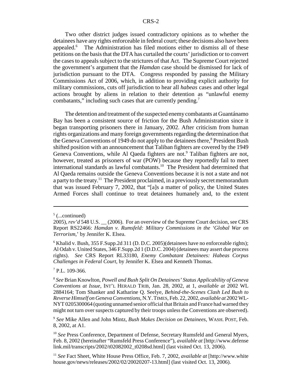Two other district judges issued contradictory opinions as to whether the detainees have any rights enforceable in federal court; these decisions also have been appealed.<sup>6</sup> The Administration has filed motions either to dismiss all of these petitions on the basis that the DTA has curtailed the courts' jurisdiction or to convert the cases to appeals subject to the strictures of that Act. The Supreme Court rejected the government's argument that the *Hamdan* case should be dismissed for lack of jurisdiction pursuant to the DTA. Congress responded by passing the Military Commissions Act of 2006, which, in addition to providing explicit authority for military commissions, cuts off jurisdiction to hear all *habeas* cases and other legal actions brought by aliens in relation to their detention as "unlawful enemy combatants," including such cases that are currently pending.<sup>7</sup>

The detention and treatment of the suspected enemy combatants at Guantánamo Bay has been a consistent source of friction for the Bush Administration since it began transporting prisoners there in January, 2002. After criticism from human rights organizations and many foreign governments regarding the determination that the Geneva Conventions of 1949 do not apply to the detainees there,<sup>8</sup> President Bush shifted position with an announcement that Taliban fighters are covered by the 1949 Geneva Conventions, while Al Qaeda fighters are not.<sup>9</sup> Taliban fighters are not, however, treated as prisoners of war (POW) because they reportedly fail to meet international standards as lawful combatants.<sup>10</sup> The President had determined that Al Qaeda remains outside the Geneva Conventions because it is not a state and not a party to the treaty.<sup>11</sup> The President proclaimed, in a previously secret memorandum that was issued February 7, 2002, that "[a]s a matter of policy, the United States Armed Forces shall continue to treat detainees humanely and, to the extent

 $7$  P.L. 109-366.

 $5$  (...continued)

<sup>2005),</sup> *rev'd* 548 U.S. \_\_ (2006). For an overview of the Supreme Court decision, see CRS Report RS22466: *Hamdan v. Rumsfeld: Military Commissions in the 'Global War on Terrorism*,' by Jennifer K. Elsea.

<sup>&</sup>lt;sup>6</sup> Khalid v. Bush, 355 F.Supp.2d 311 (D. D.C. 2005) (detainees have no enforceable rights); Al Odah v. United States, 346 F.Supp.2d 1 (D.D.C. 2004) (detainees may assert due process rights). *See* CRS Report RL33180, *Enemy Combatant Detainees: Habeas Corpus Challenges in Federal Court*, by Jennifer K. Elsea and Kenneth Thomas.

<sup>8</sup> *See* Brian Knowlton, *Powell and Bush Split On Detainees' Status Applicability of Geneva Conventions at Issue*, INT'L HERALD TRIB, Jan. 28, 2002, at 1, *available at* 2002 WL 2884164; Tom Shanker and Katharine Q. Seelye, *Behind-the-Scenes Clash Led Bush to Reverse Himself on Geneva Conventions*, N.Y.TIMES, Feb. 22, 2002, *available at* 2002 WL-NYT 0205300064 (quoting unnamed senior official that Britain and France had warned they might not turn over suspects captured by their troops unless the Conventions are observed).

<sup>9</sup> *See* Mike Allen and John Mintz, *Bush Makes Decision on Detainees*, WASH. POST, Feb. 8, 2002, at A1.

<sup>&</sup>lt;sup>10</sup> *See* Press Conference, Department of Defense, Secretary Rumsfeld and General Myers, Feb. 8, 2002 (hereinafter "Rumsfeld Press Conference"), *available at* [http://www.defense link.mil/transcripts/2002/t02082002\_t0208sd.html] (last visited Oct. 13, 2006).

<sup>11</sup> *See* Fact Sheet, White House Press Office, Feb. 7, 2002, *available at* [http://www.white house.gov/news/releases/2002/02/20020207-13.html] (last visited Oct. 13, 2006).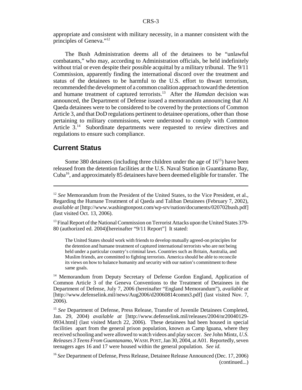appropriate and consistent with military necessity, in a manner consistent with the principles of Geneva."12

The Bush Administration deems all of the detainees to be "unlawful combatants," who may, according to Administration officials, be held indefinitely without trial or even despite their possible acquittal by a military tribunal. The 9/11 Commission, apparently finding the international discord over the treatment and status of the detainees to be harmful to the U.S. effort to thwart terrorism, recommended the development of a common coalition approach toward the detention and humane treatment of captured terrorists.13 After the *Hamdan* decision was announced, the Department of Defense issued a memorandum announcing that Al Qaeda detainees were to be considered to be covered by the protections of Common Article 3, and that DoD regulations pertinent to detainee operations, other than those pertaining to military commissions, were understood to comply with Common Article 3.<sup>14</sup> Subordinate departments were requested to review directives and regulations to ensure such compliance.

## **Current Status**

Some 380 detainees (including three children under the age of  $16^{15}$ ) have been released from the detention facilities at the U.S. Naval Station in Guantánamo Bay, Cuba<sup>16</sup>, and approximately 85 detainees have been deemed eligible for transfer. The

The United States should work with friends to develop mutually agreed-on principles for the detention and humane treatment of captured international terrorists who are not being held under a particular country's criminal laws. Countries such as Britain, Australia, and Muslim friends, are committed to fighting terrorists. America should be able to reconcile its views on how to balance humanity and security with our nation's commitment to these same goals.

<sup>14</sup> Memorandum from Deputy Secretary of Defense Gordon England, Application of Common Article 3 of the Geneva Conventions to the Treatment of Detainees in the Department of Defense, July 7, 2006 (hereinafter "England Memorandum"), *available at* [http://www.defenselink.mil/news/Aug2006/d20060814comm3.pdf] (last visited Nov. 7, 2006).

<sup>15</sup> *See* Department of Defense, Press Release, Transfer of Juvenile Detainees Completed, Jan. 29, 2004) *available at* [http://www.defenselink.mil/releases/2004/nr20040129- 0934.html] (last visited March 22, 2006). These detainees had been housed in special facilities apart from the general prison population, known as Camp Iguana, where they received schooling and were allowed to watch videos and play soccer. *See* John Mintz, *U.S. Releases 3 Teens From Guantanamo*, WASH.POST, Jan 30, 2004, at A01. Reportedly, seven teenagers ages 16 and 17 were housed within the general population. *See id.*

<sup>16</sup> *See* Department of Defense, Press Release, Detainee Release Announced (Dec. 17, 2006) (continued...)

<sup>&</sup>lt;sup>12</sup> *See* Memorandum from the President of the United States, to the Vice President, et al., Regarding the Humane Treatment of al Qaeda and Taliban Detainees (February 7, 2002), *available at* [http://www.washingtonpost.com/wp-srv/nation/documents/020702bush.pdf] (last visited Oct. 13, 2006).

<sup>&</sup>lt;sup>13</sup> Final Report of the National Commission on Terrorist Attacks upon the United States 379-80 (authorized ed. 2004)[hereinafter "9/11 Report"] It stated: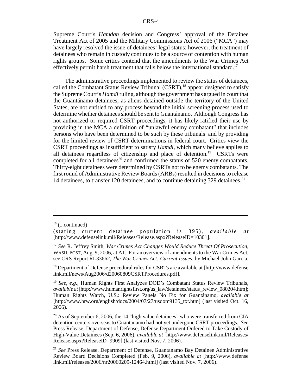Supreme Court's *Hamdan* decision and Congress' approval of the Detainee Treatment Act of 2005 and the Military Commissions Act of 2006 ("MCA") may have largely resolved the issue of detainees' legal status; however, the treatment of detainees who remain in custody continues to be a source of contention with human rights groups. Some critics contend that the amendments to the War Crimes Act effectively permit harsh treatment that falls below the international standard.<sup>17</sup>

The administrative proceedings implemented to review the status of detainees, called the Combatant Status Review Tribunal  $(CSRT)$ ,<sup>18</sup> appear designed to satisfy the Supreme Court's *Hamdi* ruling, although the government has argued in court that the Guantánamo detainees, as aliens detained outside the territory of the United States, are not entitled to any process beyond the initial screening process used to determine whether detainees should be sent to Guantánamo. Although Congress has not authorized or required CSRT proceedings, it has likely ratified their use by providing in the MCA a definition of "unlawful enemy combatant" that includes persons who have been determined to be such by these tribunals and by providing for the limited review of CSRT determinations in federal court. Critics view the CSRT proceedings as insufficient to satisfy *Hamdi*, which many believe applies to all detainees regardless of citizenship and place of detention.<sup>19</sup> CSRTs were completed for all detainees<sup>20</sup> and confirmed the status of 520 enemy combatants. Thirty-eight detainees were determined by CSRTs not to be enemy combatants. The first round of Administrative Review Boards (ARBs) resulted in decisions to release 14 detainees, to transfer 120 detainees, and to continue detaining 329 detainees.<sup>21</sup>

 $16$  (...continued)

<sup>(</sup>stating current detainee population is 395), *available at* [http://www.defenselink.mil/Releases/Release.aspx?ReleaseID=10301].

<sup>17</sup> *See* R. Jeffrey Smith, *War Crimes Act Changes Would Reduce Threat Of Prosecution*, WASH. POST, Aug. 9, 2006, at A1. For an overview of amendments to the War Crimes Act, see CRS Report RL33662, *The War Crimes Act: Current Issues*, by Michael John Garcia.

<sup>&</sup>lt;sup>18</sup> Department of Defense procedural rules for CSRTs are available at [http://www.defense link.mil/news/Aug2006/d20060809CSRTProcedures.pdf].

<sup>19</sup> *See, e.g.*, Human Rights First Analyzes DOD's Combatant Status Review Tribunals, *available at* [http://www.humanrightsfirst.org/us\_law/detainees/status\_review\_080204.htm]; Human Rights Watch, U.S.: Review Panels No Fix for Guantánamo, *available at* [http://www.hrw.org/english/docs/2004/07/27/usdom9135\_txt.htm] (last visited Oct. 16, 2006).

<sup>&</sup>lt;sup>20</sup> As of September 6, 2006, the 14 "high value detainees" who were transferred from CIA detention centers overseas to Guantanamo had not yet undergone CSRT proceedings. *See* Press Release, Department of Defense, Defense Department Ordered to Take Custody of High-Value Detainees (Sep. 6, 2006), *available at* [http://www.defenselink.mil/Releases/ Release.aspx?ReleaseID=9909] (last visited Nov. 7, 2006).

<sup>21</sup> *See* Press Release, Department of Defense, Guantanamo Bay Detainee Administrative Review Board Decisions Completed (Feb. 9, 2006), *available at* [http://www.defense link.mil/releases/2006/nr20060209-12464.html] (last visited Nov. 7, 2006).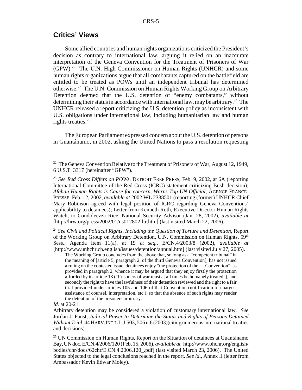## **Critics' Views**

Some allied countries and human rights organizations criticized the President's decision as contrary to international law, arguing it relied on an inaccurate interpretation of the Geneva Convention for the Treatment of Prisoners of War  $(GPW).<sup>22</sup>$  The U.N. High Commissioner on Human Rights (UNHCR) and some human rights organizations argue that all combatants captured on the battlefield are entitled to be treated as POWs until an independent tribunal has determined otherwise.23 The U.N. Commission on Human Rights Working Group on Arbitrary Detention deemed that the U.S. detention of "enemy combatants," without determining their status in accordance with international law, may be arbitrary.<sup>24</sup> The UNHCR released a report criticizing the U.S. detention policy as inconsistent with U.S. obligations under international law, including humanitarian law and human rights treaties.25

The European Parliament expressed concern about the U.S. detention of persons in Guantánamo, in 2002, asking the United Nations to pass a resolution requesting

<sup>24</sup> *See Civil and Political Rights, Including the Question of Torture and Detention*, Report of the Working Group on Arbitrary Detention, U.N. Commission on Human Rights,  $59<sup>th</sup>$ Sess., Agenda Item 11(a), at 19 *et seq.*, E/CN.4/2003/8 (2002), *available at* [http://www.unhchr.ch.english/issues/detention/annual.htm] (last visited July 27, 2005).

The Working Group concludes from the above that, so long as a "competent tribunal" in the meaning of [article 5, paragraph 2, of the third Geneva Convention], has not issued a ruling on the contested issue, detainees enjoy "the protection of the … Convention", as provided in paragraph 2, whence it may be argued that they enjoy firstly the protection afforded by its article 13 ("Prisoners of war must at all times be humanely treated"), and secondly the right to have the lawfulness of their detention reviewed and the right to a fair trial provided under articles 105 and 106 of that Convention (notification of charges, assistance of counsel, interpretation, etc.), so that the absence of such rights may render the detention of the prisoners arbitrary.

*Id.* at 20-21.

Arbitrary detention may be considered a violation of customary international law. *See* Jordan J. Paust, *Judicial Power to Determine the Status and Rights of Persons Detained Without Trial*, 44 HARV.INT'L L.J.503, 506 n.6 (2003)(citing numerous international treaties and decisions).

<sup>25</sup> UN Commission on Human Rights, Report on the Situation of detainees at Guantánamo Bay, UN doc. E/CN.4/2006/120 (Feb. 15, 2006), *available at* [http://www.ohchr.org/english/ bodies/chr/docs/62chr/E.CN.4.2006.120\_.pdf] (last visited March 23, 2006). The United States objected to the legal conclusions reached in the report. *See id*., Annex II (letter from Ambassador Kevin Edwar Moley).

<sup>&</sup>lt;sup>22</sup> The Geneva Convention Relative to the Treatment of Prisoners of War, August 12, 1949, 6 U.S.T. 3317 (hereinafter "GPW").

<sup>23</sup> *See Red Cross Differs on POWs*, DETROIT FREE PRESS, Feb. 9, 2002, at 6A (reporting International Committee of the Red Cross (ICRC) statement criticizing Bush decision); *Afghan Human Rights is Cause for concern, Warns Top UN Official*, AGENCE FRANCE-PRESSE, Feb. 12, 2002, *available at* 2002 WL 2338501 (reporting (former) UNHCR Chief Mary Robinson agreed with legal position of ICRC regarding Geneva Conventions' applicability to detainees); Letter from Kenneth Roth, Executive Director Human Rights Watch, to Condoleezza Rice, National Security Advisor (Jan. 28, 2002), *available at* [http://hrw.org/press/2002/01/us012802-ltr.htm] (last visited March 22, 2006).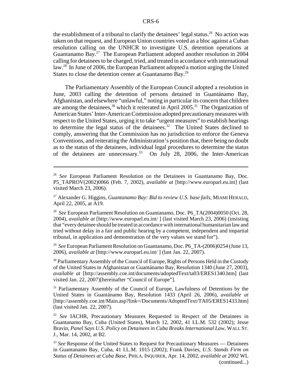the establishment of a tribunal to clarify the detainees' legal status.<sup>26</sup> No action was taken on that request, and European Union countries voted as a bloc against a Cuban resolution calling on the UNHCR to investigate U.S. detention operations at Guantanamo Bay.27 The European Parliament adopted another resolution in 2004 calling for detainees to be charged, tried, and treated in accordance with international law.28 In June of 2006, the European Parliament adopted a motion urging the United States to close the detention center at Guantanamo Bay.<sup>29</sup>

The Parliamentary Assembly of the European Council adopted a resolution in June, 2003 calling the detention of persons detained in Guantánamo Bay, Afghanistan, and elsewhere "unlawful," noting in particular its concern that children are among the detainees,<sup>30</sup> which it reiterated in April 2005.<sup>31</sup> The Organization of American States' Inter-American Commission adopted precautionary measures with respect to the United States, urging it to take "urgent measures" to establish hearings to determine the legal status of the detainees.<sup>32</sup> The United States declined to comply, answering that the Commission has no jurisdiction to enforce the Geneva Conventions, and reiterating the Administration's position that, there being no doubt as to the status of the detainees, individual legal procedures to determine the status of the detainees are unnecessary.<sup>33</sup> On July 28, 2006, the Inter-American

29 *See* European Parliament Resolution on Guantanamo, Doc. P6\_TA-(2006)0254 (June 13, 2006), *available at* [http://www.europarl.eu.int/ ] (last Jan. 22, 2007).

<sup>30</sup> Parliamentary Assembly of the Council of Europe, Rights of Persons Held in the Custody of the United States in Afghanistan or Guantánamo Bay, Resolution 1340 (June 27, 2003), *available at* [http://assembly.coe.int/documents/adoptedText/ta03/ERES1340.htm] (last visited Jan. 22, 2007)[hereinafter "Council of Europe"].

<sup>31</sup> Parliamentary Assembly of the Council of Europe, Lawfulness of Detentions by the United States in Guantánamo Bay, Resolution 1433 (April 26, 2006), *available at* [http://assembly.coe.int/Main.asp?link=/Documents/AdoptedText/TA05/ERES1433.htm] (last visited Jan. 22, 2007).

<sup>32</sup> *See* IACHR, Precautionary Measures Requested in Respect of the Detainees in Guantanamo Bay, Cuba (United States), March 12, 2002, 41 I.L.M. 532 (2002); Jesse Bravin, *Panel Says U.S. Policy on Detainees in Cuba Breaks International Law*, WALL ST. J., Mar. 14, 2002, at B2.

<sup>26</sup> *See* European Parliament Resolution on the Detainees in Guantanamo Bay, Doc. P5\_TAPROV(2002)0066 (Feb. 7, 2002), *available at* [http://www.europarl.eu.int] (last visited March 23, 2006).

<sup>27</sup> Alexander G. Higgins, *Guantanamo Bay: Bid to review U.S. base fails*, MIAMI HERALD, April 22, 2005, at A19.

<sup>&</sup>lt;sup>28</sup> *See* European Parliament Resolution on Guantanamo, Doc. P6 TA(2004)0050 (Oct. 28, 2004), *available at* [http://www.europarl.eu.int/ ] (last visited March 23, 2006) (insisting that "every detainee should be treated in accordance with international humanitarian law and tried without delay in a fair and public hearing by a competent, independent and impartial tribunal, in application and demonstration of the very values we stand for").

<sup>&</sup>lt;sup>33</sup> See Response of the United States to Request for Precautionary Measures — Detainees in Guantanamo Bay, Cuba, 41 I.L.M. 1015 (2002); Frank Davies, *U.S. Stands Firm on Status of Detainees at Cuba Base*, PHILA. INQUIRER, Apr. 14, 2002, *available at* 2002 WL (continued...)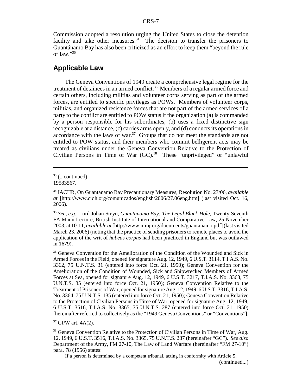Commission adopted a resolution urging the United States to close the detention facility and take other measures.<sup>34</sup> The decision to transfer the prisoners to Guantánamo Bay has also been criticized as an effort to keep them "beyond the rule of law."35

## **Applicable Law**

The Geneva Conventions of 1949 create a comprehensive legal regime for the treatment of detainees in an armed conflict.<sup>36</sup> Members of a regular armed force and certain others, including militias and volunteer corps serving as part of the armed forces, are entitled to specific privileges as POWs. Members of volunteer corps, militias, and organized resistence forces that are not part of the armed services of a party to the conflict are entitled to POW status if the organization (a) is commanded by a person responsible for his subordinates, (b) uses a fixed distinctive sign recognizable at a distance, (c) carries arms openly, and (d) conducts its operations in accordance with the laws of war.<sup>37</sup> Groups that do not meet the standards are not entitled to POW status, and their members who commit belligerent acts may be treated as civilians under the Geneva Convention Relative to the Protection of Civilian Persons in Time of War  $(GC)$ .<sup>38</sup> These "unprivileged" or "unlawful"

<sup>35</sup> *See, e.g.,* Lord Johan Steyn, *Guantanamo Bay: The Legal Black Hole*, Twenty-Seventh FA Mann Lecture, British Institute of International and Comparative Law, 25 November 2003, at 10-11, *available at* [http://www.nimj.org/documents/guantanamo.pdf] (last visited March 23, 2006) (noting that the practice of sending prisoners to remote places to avoid the application of the writ of *habeas corpus* had been practiced in England but was outlawed in 1679).

<sup>36</sup> Geneva Convention for the Amelioration of the Condition of the Wounded and Sick in Armed Forces in the Field, opened for signature Aug. 12, 1949, 6 U.S.T. 3114, T.I.A.S. No. 3362, 75 U.N.T.S. 31 (entered into force Oct. 21, 1950); Geneva Convention for the Amelioration of the Condition of Wounded, Sick and Shipwrecked Members of Armed Forces at Sea, opened for signature Aug. 12, 1949, 6 U.S.T. 3217, T.I.A.S. No. 3363, 75 U.N.T.S. 85 (entered into force Oct. 21, 1950); Geneva Convention Relative to the Treatment of Prisoners of War, opened for signature Aug. 12, 1949, 6 U.S.T. 3316, T.I.A.S. No. 3364, 75 U.N.T.S. 135 (entered into force Oct. 21, 1950); Geneva Convention Relative to the Protection of Civilian Persons in Time of War, opened for signature Aug. 12, 1949, 6 U.S.T. 3516, T.I.A.S. No. 3365, 75 U.N.T.S. 287 (entered into force Oct. 21, 1950) [hereinafter referred to collectively as the "1949 Geneva Conventions" or "Conventions"].

37 GPW art. 4A(2).

<sup>38</sup> Geneva Convention Relative to the Protection of Civilian Persons in Time of War, Aug. 12, 1949, 6 U.S.T. 3516, T.I.A.S. No. 3365, 75 U.N.T.S. 287 (hereinafter "GC"). *See also* Department of the Army, FM 27-10, The Law of Land Warfare (hereinafter "FM 27-10") para. 78 (1956) states:

If a person is determined by a competent tribunal, acting in conformity with Article 5,

 $33$  (...continued)

<sup>19583567.</sup>

<sup>34</sup> IACHR, On Guantanamo Bay Precautionary Measures, Resolution No. 27/06, *available at* [http://www.cidh.org/comunicados/english/2006/27.06eng.htm] (last visited Oct. 16, 2006).

<sup>(</sup>continued...)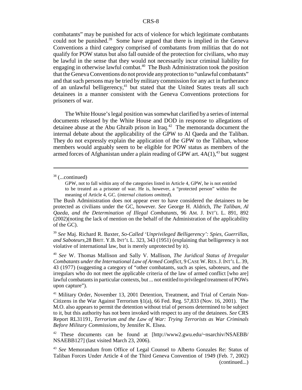combatants" may be punished for acts of violence for which legitimate combatants could not be punished.<sup>39</sup> Some have argued that there is implied in the Geneva Conventions a third category comprised of combatants from militias that do not qualify for POW status but also fall outside of the protection for civilians, who may be lawful in the sense that they would not necessarily incur criminal liability for engaging in otherwise lawful combat.<sup>40</sup> The Bush Administration took the position that the Geneva Conventions do not provide any protection to "unlawful combatants" and that such persons may be tried by military commission for any act in furtherance of an unlawful belligerency, $41$  but stated that the United States treats all such detainees in a manner consistent with the Geneva Conventions protections for prisoners of war.

The White House's legal position was somewhat clarified by a series of internal documents released by the White House and DOD in response to allegations of detainee abuse at the Abu Ghraib prison in Iraq.<sup>42</sup> The memoranda document the internal debate about the applicability of the GPW to Al Qaeda and the Taliban. They do not expressly explain the application of the GPW to the Taliban, whose members would arguably seem to be eligible for POW status as members of the armed forces of Afghanistan under a plain reading of GPW art.  $4A(1)$ ,<sup>43</sup> but suggest

<sup>39</sup> *See* Maj. Richard R. Baxter, *So-Called 'Unprivileged Belligerency': Spies, Guerrillas, and Saboteurs,*28 BRIT. Y.B. INT'L L. 323, 343 (1951) (explaining that belligerency is not violative of international law, but is merely unprotected by it).

<sup>40</sup> *See* W. Thomas Mallison and Sally V. Mallison, *The Juridical Status of Irregular Combatants under the International Law of Armed Conflict*, 9 CASE W.RES.J.INT'L L. 39, 43 (1977) (suggesting a category of "other combatants, such as spies, saboteurs, and the irregulars who do not meet the applicable criteria of the law of armed conflict [who are] lawful combatants in particular contexts, but ... not entitled to privileged treatment of POWs upon capture").

<sup>38 (...</sup>continued)

GPW, not to fall within any of the categories listed in Article 4, GPW, he is not entitled to be treated as a prisoner of war. He is, however, a "protected person" within the meaning of Article 4, GC. (*internal citations omitted*).

The Bush Administration does not appear ever to have considered the detainees to be protected as civilians under the GC, however. *See* George H. Aldrich, *The Taliban, Al Qaeda, and the Determination of Illegal Combatants*, 96 AM. J. INT'L L. 891, 892 (2002)(noting the lack of mention on the behalf of the Administration of the applicability of the GC).

<sup>41</sup> Military Order, November 13, 2001 Detention, Treatment, and Trial of Certain Non-Citizens in the War Against Terrorism §1(a), 66 Fed. Reg. 57,833 (Nov. 16, 2001). The M.O. also appears to permit the detention without trial of persons determined to be subject to it, but this authority has not been invoked with respect to any of the detainees. *See* CRS Report RL31191, *Terrorism and the Law of War: Trying Terrorists as War Criminals Before Military Commissions*, by Jennifer K. Elsea.

<sup>&</sup>lt;sup>42</sup> These documents can be found at  $[http://www2.gwu.edu/~nsarchiv/NSAEBB/$ NSAEBB127] (last visited March 23, 2006).

<sup>43</sup> *See* Memorandum from Office of Legal Counsel to Alberto Gonzales Re: Status of Taliban Forces Under Article 4 of the Third Geneva Convention of 1949 (Feb. 7, 2002) (continued...)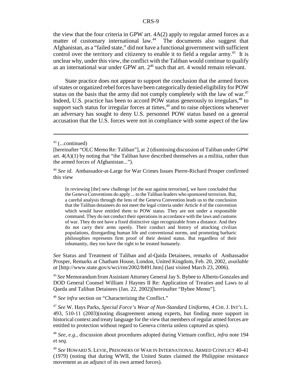the view that the four criteria in GPW art. 4A(2) apply to regular armed forces as a matter of customary international law.<sup>44</sup> The documents also suggest that Afghanistan, as a "failed state," did not have a functional government with sufficient control over the territory and citizenry to enable it to field a regular army.<sup>45</sup> It is unclear why, under this view, the conflict with the Taliban would continue to qualify as an international war under GPW art.  $2^{46}$  such that art. 4 would remain relevant.

State practice does not appear to support the conclusion that the armed forces of states or organized rebel forces have been categorically denied eligibility for POW status on the basis that the army did not comply completely with the law of war.<sup>47</sup> Indeed, U.S. practice has been to accord POW status generously to irregulars,<sup>48</sup> to support such status for irregular forces at times, $49$  and to raise objections whenever an adversary has sought to deny U.S. personnel POW status based on a general accusation that the U.S. forces were not in compliance with some aspect of the law

In reviewing [the] new challenge [of the war against terrorism], we have concluded that the Geneva Conventions do apply ... to the Taliban leaders who sponsored terrorism. But, a careful analysis through the lens of the Geneva Convention leads us to the conclusion that the Taliban detainees do not meet the legal criteria under Article 4 of the convention which would have entitled them to POW status. They are not under a responsible command. They do not conduct their operations in accordance with the laws and customs of war. They do not have a fixed distinctive sign recognizable from a distance. And they do not carry their arms openly. Their conduct and history of attacking civilian populations, disregarding human life and conventional norms, and promoting barbaric philosophies represents firm proof of their denied status. But regardless of their inhumanity, they too have the right to be treated humanely.

*See* Status and Treatment of Taliban and al-Qaida Detainees, remarks of Ambassador Prosper, Remarks at Chatham House, London, United Kingdom, Feb. 20, 2002, *available at* [http://www.state.gov/s/wci/rm/2002/8491.htm] (last visited March 23, 2006).

<sup>45</sup> *See* Memorandum from Assistant Attorney General Jay S. Bybee to Alberto Gonzales and DOD General Counsel William J Haynes II Re: Application of Treaties and Laws to al Qaeda and Taliban Detainees (Jan. 22, 2002)[hereinafter "Bybee Memo"].

<sup>46</sup> *See infra* section on "Characterizing the Conflict."

<sup>47</sup> *See* W. Hays Parks, *Special Force's Wear of Non-Standard Uniforms*, 4 CHI. J. INT'L L. 493, 510-11 (2003)(noting disagreement among experts, but finding more support in historical context and treaty language for the view that members of regular armed forces are entitled to protection without regard to Geneva criteria unless captured as spies).

<sup>48</sup> *See, e.g.,* discussion about procedures adopted during Vietnam conflict, *infra* note 194 *et seq.*

<sup>49</sup> *See* HOWARD S. LEVIE, PRISONERS OF WAR IN INTERNATIONAL ARMED CONFLICT 40-41 (1979) (noting that during WWII, the United States claimed the Philippine resistance movement as an adjunct of its own armed forces).

 $43$  (...continued)

<sup>[</sup>hereinafter "OLC Memo Re: Taliban"], at 2 (dismissing discussion of Taliban under GPW art.  $4(A)(1)$  by noting that "the Taliban have described themselves as a militia, rather than the armed forces of Afghanistan...").

<sup>44</sup> *See id*. Ambassador-at-Large for War Crimes Issues Pierre-Richard Prosper confirmed this view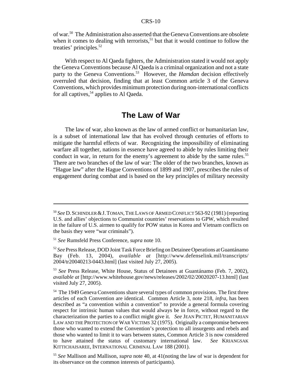of war.50 The Administration also asserted that the Geneva Conventions are obsolete when it comes to dealing with terrorists,<sup>51</sup> but that it would continue to follow the treaties' principles.<sup>52</sup>

With respect to Al Qaeda fighters, the Administration stated it would not apply the Geneva Conventions because Al Qaeda is a criminal organization and not a state party to the Geneva Conventions.<sup>53</sup> However, the *Hamdan* decision effectively overruled that decision, finding that at least Common article 3 of the Geneva Conventions, which provides minimum protection during non-international conflicts for all captives,  $54$  applies to Al Qaeda.

## **The Law of War**

The law of war, also known as the law of armed conflict or humanitarian law, is a subset of international law that has evolved through centuries of efforts to mitigate the harmful effects of war. Recognizing the impossibility of eliminating warfare all together, nations in essence have agreed to abide by rules limiting their conduct in war, in return for the enemy's agreement to abide by the same rules.<sup>55</sup> There are two branches of the law of war: The older of the two branches, known as "Hague law" after the Hague Conventions of 1899 and 1907, prescribes the rules of engagement during combat and is based on the key principles of military necessity

<sup>50</sup> *See* D.SCHINDLER &J.TOMAN,THE LAWS OF ARMED CONFLICT 563-92 (1981) (reporting U.S. and allies' objections to Communist countries' reservations to GPW, which resulted in the failure of U.S. airmen to qualify for POW status in Korea and Vietnam conflicts on the basis they were "war criminals").

<sup>51</sup> *See* Rumsfeld Press Conference, *supra* note 10.

<sup>52</sup> *See* Press Release, DOD Joint Task Force Briefing on Detainee Operations at Guantánamo Bay (Feb. 13, 2004), *available at* [http://www.defenselink.mil/transcripts/ 2004/tr20040213-0443.html] (last visited July 27, 2005).

<sup>53</sup> *See* Press Release, White House, Status of Detainees at Guantánamo (Feb. 7, 2002), *available at* [http://www.whitehouse.gov/news/releases/2002/02/20020207-13.html] (last visited July 27, 2005).

<sup>&</sup>lt;sup>54</sup> The 1949 Geneva Conventions share several types of common provisions. The first three articles of each Convention are identical. Common Article 3, note 218, *infra,* has been described as "a convention within a convention" to provide a general formula covering respect for intrinsic human values that would always be in force, without regard to the characterization the parties to a conflict might give it. *See* JEAN PICTET, HUMANITARIAN LAW AND THE PROTECTION OF WAR VICTIMS 32 (1975). Originally a compromise between those who wanted to extend the Convention's protection to all insurgents and rebels and those who wanted to limit it to wars between states, Common Article 3 is now considered to have attained the status of customary international law. *See* KRIANGSAK KITTICHAISAREE, INTERNATIONAL CRIMINAL LAW 188 (2001).

<sup>55</sup> *See* Mallison and Mallison, *supra* note 40, at 41(noting the law of war is dependent for its observance on the common interests of participants).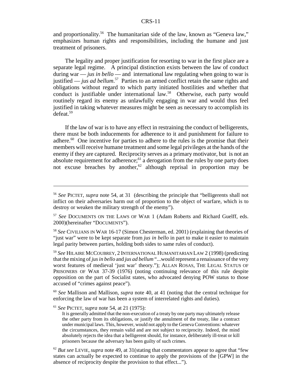and proportionality.<sup>56</sup> The humanitarian side of the law, known as "Geneva law," emphasizes human rights and responsibilities, including the humane and just treatment of prisoners.

The legality and proper justification for resorting to war in the first place are a separate legal regime. A principal distinction exists between the law of conduct during war — *jus in bello* — and international law regulating when going to war is justified — *jus ad bellum*. 57 Parties to an armed conflict retain the same rights and obligations without regard to which party initiated hostilities and whether that conduct is justifiable under international law.<sup>58</sup> Otherwise, each party would routinely regard its enemy as unlawfully engaging in war and would thus feel justified in taking whatever measures might be seen as necessary to accomplish its defeat.59

If the law of war is to have any effect in restraining the conduct of belligerents, there must be both inducements for adherence to it and punishment for failure to adhere.60 One incentive for parties to adhere to the rules is the promise that their members will receive humane treatment and some legal privileges at the hands of the enemy if they are captured. Reciprocity serves as a primary motivator, but is not an absolute requirement for adherence;<sup>61</sup> a derogation from the rules by one party does not excuse breaches by another,<sup>62</sup> although reprisal in proportion may be

<sup>60</sup> *See* Mallison and Mallison, *supra* note 40, at 41 (noting that the central technique for enforcing the law of war has been a system of interrelated rights and duties).

<sup>61</sup> *See* PICTET, *supra* note 54, at 21 (1975):

<sup>56</sup> *See* PICTET, *supra* note 54, at 31 (describing the principle that "belligerents shall not inflict on their adversaries harm out of proportion to the object of warfare, which is to destroy or weaken the military strength of the enemy").

<sup>57</sup> *See* DOCUMENTS ON THE LAWS OF WAR 1 (Adam Roberts and Richard Guelff, eds. 2000)(hereinafter "DOCUMENTS").

<sup>58</sup> *See* CIVILIANS IN WAR 16-17 (Simon Chesterman, ed. 2001) (explaining that theories of "just war" were to be kept separate from *jus in bello* in part to make it easier to maintain legal parity between parties, holding both sides to same rules of conduct).

<sup>59</sup> *See* HILAIRE MCCOUBREY, 2 INTERNATIONAL HUMANITARIAN LAW 2 (1998) (predicting that the mixing of *jus in bello* and *jus ad bellum* "...would represent a renaissance of the very worst features of medieval 'just war' theory."); ALLAN ROSAS, THE LEGAL STATUS OF PRISONERS OF WAR 37-39 (1976) (noting continuing relevance of this rule despite opposition on the part of Socialist states, who advocated denying POW status to those accused of "crimes against peace").

It is generally admitted that the non-execution of a treaty by one party may ultimately release the other party from its obligations, or justify the annulment of the treaty, like a contract under municipal laws. This, however, would not apply to the Geneva Conventions: whatever the circumstances, they remain valid and are not subject to reciprocity. Indeed, the mind absolutely rejects the idea that a belligerent should, for instance, deliberately ill-treat or kill prisoners because the adversary has been guilty of such crimes.

<sup>62</sup> *But see* LEVIE, *supra* note 49, at 31(stating that commentators appear to agree that "few states can actually be expected to continue to apply the provisions of the [GPW] in the absence of reciprocity despite the provision to that effect...").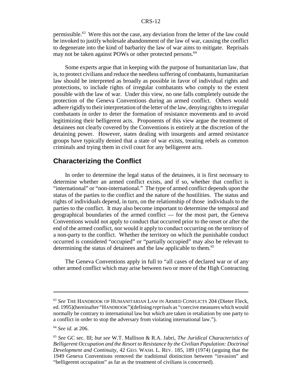permissible.<sup>63</sup> Were this not the case, any deviation from the letter of the law could be invoked to justify wholesale abandonment of the law of war, causing the conflict to degenerate into the kind of barbarity the law of war aims to mitigate. Reprisals may not be taken against POWs or other protected persons.<sup>64</sup>

Some experts argue that in keeping with the purpose of humanitarian law, that is, to protect civilians and reduce the needless suffering of combatants, humanitarian law should be interpreted as broadly as possible in favor of individual rights and protections, to include rights of irregular combatants who comply to the extent possible with the law of war. Under this view, no one falls completely outside the protection of the Geneva Conventions during an armed conflict. Others would adhere rigidly to their interpretation of the letter of the law, denying rights to irregular combatants in order to deter the formation of resistance movements and to avoid legitimizing their belligerent acts. Proponents of this view argue the treatment of detainees not clearly covered by the Conventions is entirely at the discretion of the detaining power. However, states dealing with insurgents and armed resistance groups have typically denied that a state of war exists, treating rebels as common criminals and trying them in civil court for any belligerent acts.

## **Characterizing the Conflict**

In order to determine the legal status of the detainees, it is first necessary to determine whether an armed conflict exists, and if so, whether that conflict is "international" or "non-international." The type of armed conflict depends upon the status of the parties to the conflict and the nature of the hostilities. The status and rights of individuals depend, in turn, on the relationship of those individuals to the parties to the conflict. It may also become important to determine the temporal and geographical boundaries of the armed conflict — for the most part, the Geneva Conventions would not apply to conduct that occurred prior to the onset or after the end of the armed conflict, nor would it apply to conduct occurring on the territory of a non-party to the conflict. Whether the territory on which the punishable conduct occurred is considered "occupied" or "partially occupied" may also be relevant to determining the status of detainees and the law applicable to them.<sup>65</sup>

The Geneva Conventions apply in full to "all cases of declared war or of any other armed conflict which may arise between two or more of the High Contracting

<sup>63</sup> *See* THE HANDBOOK OF HUMANITARIAN LAW IN ARMED CONFLICTS 204 (Dieter Fleck, ed. 1995)(hereinafter "HANDBOOK")(defining *reprisals* as "coercive measures which would normally be contrary to international law but which are taken in retaliation by one party to a conflict in order to stop the adversary from violating international law.").

<sup>64</sup> *See id*. at 206.

<sup>65</sup> *See* GC sec. III; *but see* W.T. Mallison & R.A. Jabri, *The Juridical Characteristics of Belligerent Occupation and the Resort to Resistance by the Civilian Population: Doctrinal Development and Continuity*, 42 GEO. WASH. L. REV. 185, 189 (1974) (arguing that the 1949 Geneva Conventions removed the traditional distinction between "invasion" and "belligerent occupation" as far as the treatment of civilians is concerned).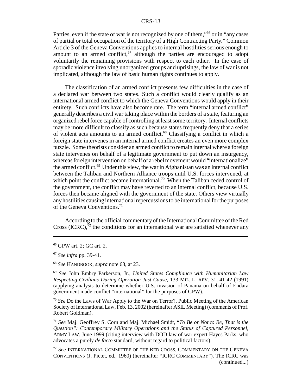Parties, even if the state of war is not recognized by one of them,"<sup>66</sup> or in "any cases" of partial or total occupation of the territory of a High Contracting Party." Common Article 3 of the Geneva Conventions applies to internal hostilities serious enough to amount to an armed conflict, $67$  although the parties are encouraged to adopt voluntarily the remaining provisions with respect to each other. In the case of sporadic violence involving unorganized groups and uprisings, the law of war is not implicated, although the law of basic human rights continues to apply.

The classification of an armed conflict presents few difficulties in the case of a declared war between two states. Such a conflict would clearly qualify as an international armed conflict to which the Geneva Conventions would apply in their entirety. Such conflicts have also become rare. The term "internal armed conflict" generally describes a civil war taking place within the borders of a state, featuring an organized rebel force capable of controlling at least some territory. Internal conflicts may be more difficult to classify as such because states frequently deny that a series of violent acts amounts to an armed conflict.68 Classifying a conflict in which a foreign state intervenes in an internal armed conflict creates an even more complex puzzle. Some theorists consider an armed conflict to remain internal where a foreign state intervenes on behalf of a legitimate government to put down an insurgency, whereas foreign intervention on behalf of a rebel movement would "internationalize" the armed conflict.<sup>69</sup> Under this view, the war in Afghanistan was an internal conflict between the Taliban and Northern Alliance troops until U.S. forces intervened, at which point the conflict became international.<sup>70</sup> When the Taliban ceded control of the government, the conflict may have reverted to an internal conflict, because U.S. forces then became aligned with the government of the state. Others view virtually any hostilities causing international repercussions to be international for the purposes of the Geneva Conventions.71

According to the official commentary of the International Committee of the Red Cross (ICRC), $^{72}$  the conditions for an international war are satisfied whenever any

<sup>70</sup> See Do the Laws of War Apply to the War on Terror?, Public Meeting of the American Society of International Law, Feb. 13, 2002 (hereinafter ASIL Meeting) (comments of Prof. Robert Goldman).

<sup>66</sup> GPW art. 2; GC art. 2.

<sup>67</sup> *See infra* pp. 39-41.

<sup>68</sup> *See* HANDBOOK, *supra* note 63, at 23.

<sup>69</sup> *See* John Embry Parkerson, Jr., *United States Compliance with Humanitarian Law Respecting Civilians During Operation Just Cause*, 133 MIL. L. REV. 31, 41-42 (1991) (applying analysis to determine whether U.S. invasion of Panama on behalf of Endara government made conflict "international" for the purposes of GPW).

<sup>71</sup> *See* Maj. Geoffrey S. Corn and Maj. Michael Smidt, "*To Be or Not to Be, That is the Question": Contemporary Military Operations and the Status of Captured Personnel*, ARMY LAW. June 1999 (citing interview with DOD law of war expert Hayes Parks, who advocates a purely *de facto* standard, without regard to political factors).

<sup>72</sup> *See* INTERNATIONAL COMMITTEE OF THE RED CROSS, COMMENTARY ON THE GENEVA CONVENTIONS (J. Pictet, ed., 1960) (hereinafter "ICRC COMMENTARY"). The ICRC was (continued...)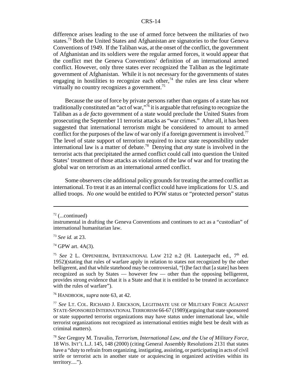difference arises leading to the use of armed force between the militaries of two states.<sup>73</sup> Both the United States and Afghanistan are signatories to the four Geneva Conventions of 1949. If the Taliban was, at the onset of the conflict, the government of Afghanistan and its soldiers were the regular armed forces, it would appear that the conflict met the Geneva Conventions' definition of an international armed conflict. However, only three states ever recognized the Taliban as the legitimate government of Afghanistan. While it is not necessary for the governments of states engaging in hostilities to recognize each other,<sup>74</sup> the rules are less clear where virtually no country recognizes a government.<sup>75</sup>

Because the use of force by private persons rather than organs of a state has not traditionally constituted an "act of war,"<sup>76</sup> it is arguable that refusing to recognize the Taliban as a *de facto* government of a state would preclude the United States from prosecuting the September 11 terrorist attacks as "war crimes." After all, it has been suggested that international terrorism might be considered to amount to armed conflict for the purposes of the law of war only if a foreign government is involved.<sup>77</sup> The level of state support of terrorism required to incur state responsibility under international law is a matter of debate.78 Denying that *any* state is involved in the terrorist acts that precipitated the armed conflict could call into question the United States' treatment of those attacks as violations of the law of war and for treating the global war on terrorism as an international armed conflict.

Some observers cite additional policy grounds for treating the armed conflict as international. To treat it as an internal conflict could have implications for U.S. and allied troops. *No one* would be entitled to POW status or "protected person" status

 $72$  (...continued)

instrumental in drafting the Geneva Conventions and continues to act as a "custodian" of international humanitarian law.

<sup>73</sup> *See id.* at 23.

<sup>74</sup> GPW art. 4A(3).

<sup>&</sup>lt;sup>75</sup> See 2 L. OPPENHEIM, INTERNATIONAL LAW 212 n.2 (H. Lauterpacht ed., 7<sup>th</sup> ed. 1952)(stating that rules of warfare apply in relation to states not recognized by the other belligerent, and that while statehood may be controversial, "[t]he fact that [a state] has been recognized as such by States — however few — other than the opposing belligerent, provides strong evidence that it is a State and that it is entitled to be treated in accordance with the rules of warfare").

<sup>76</sup> HANDBOOK, *supra* note 63, at 42.

<sup>77</sup> *See* LT. COL. RICHARD J. ERICKSON, LEGITIMATE USE OF MILITARY FORCE AGAINST STATE-SPONSORED INTERNATIONAL TERRORISM 66-67 (1989)(arguing that state sponsored or state supported terrorist organizations may have status under international law, while terrorist organizations not recognized as international entities might best be dealt with as criminal matters).

<sup>78</sup> *See* Gregory M. Travalio, *Terrorism, International Law, and the Use of Military Force,* 18 WIS. INT'L L.J. 145, 148 (2000) (citing General Assembly Resolutions 2131 that states have a "duty to refrain from organizing, instigating, assisting, or participating in acts of civil strife or terrorist acts in another state or acquiescing in organized activities within its territory....").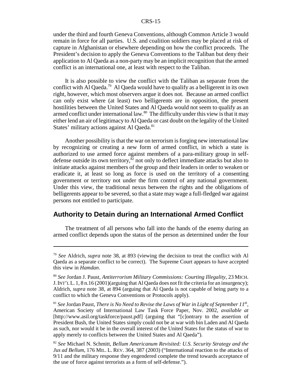under the third and fourth Geneva Conventions, although Common Article 3 would remain in force for all parties. U.S. and coalition soldiers may be placed at risk of capture in Afghanistan or elsewhere depending on how the conflict proceeds. The President's decision to apply the Geneva Conventions to the Taliban but deny their application to Al Qaeda as a non-party may be an implicit recognition that the armed conflict is an international one, at least with respect to the Taliban.

It is also possible to view the conflict with the Taliban as separate from the conflict with Al Qaeda.<sup>79</sup> Al Qaeda would have to qualify as a belligerent in its own right, however, which most observers argue it does not. Because an armed conflict can only exist where (at least) two belligerents are in opposition, the present hostilities between the United States and Al Qaeda would not seem to qualify as an armed conflict under international law.<sup>80</sup> The difficulty under this view is that it may either lend an air of legitimacy to Al Qaeda or cast doubt on the legality of the United States' military actions against Al Qaeda.<sup>81</sup>

Another possibility is that the war on terrorism is forging new international law by recognizing or creating a new form of armed conflict, in which a state is authorized to use armed force against members of a para-military group in selfdefense outside its own territory,  $\frac{82}{2}$  not only to deflect immediate attacks but also to initiate attacks against members of the group and their leaders in order to weaken or eradicate it, at least so long as force is used on the territory of a consenting government or territory not under the firm control of any national government. Under this view, the traditional nexus between the rights and the obligations of belligerents appear to be severed, so that a state may wage a full-fledged war against persons not entitled to participate.

## **Authority to Detain during an International Armed Conflict**

The treatment of all persons who fall into the hands of the enemy during an armed conflict depends upon the status of the person as determined under the four

<sup>79</sup> *See* Aldrich, *supra* note 38, at 893 (viewing the decision to treat the conflict with Al Qaeda as a separate conflict to be correct). The Supreme Court appears to have accepted this view in *Hamdan*.

<sup>80</sup> *See* Jordan J. Paust, *Antiterrorism Military Commissions: Courting Illegality*, 23 MICH. J.INT'L L. 1, 8 n.16 (2001)(arguing that Al Qaeda does not fit the criteria for an insurgency); Aldrich, *supra* note 38, at 894 (arguing that Al Qaeda is not capable of being party to a conflict to which the Geneva Conventions or Protocols apply).

<sup>&</sup>lt;sup>81</sup> See Jordan Paust, *There is No Need to Revise the Laws of War in Light of September 11<sup>th</sup>,* American Society of International Law Task Force Paper, Nov. 2002, *available at* [http://www.asil.org/taskforce/paust.pdf] (arguing that "[c]ontrary to the assertion of President Bush, the United States simply could not be at war with bin Laden and Al Qaeda as such, nor would it be in the overall interest of the United States for the status of war to apply merely to conflicts between the United States and Al Qaeda").

<sup>82</sup> *See* Michael N. Schmitt, *Bellum Americanum Revisited: U.S. Security Strategy and the Jus ad Bellum*, 176 MIL. L. REV. 364, 387 (2003) ("International reaction to the attacks of 9/11 and the military response they engendered complete the trend towards acceptance of the use of force against terrorists as a form of self-defense.").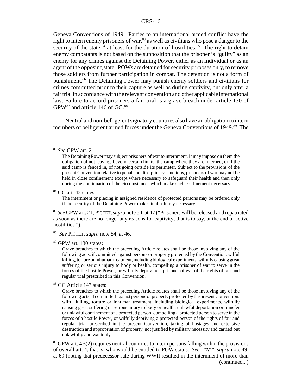Geneva Conventions of 1949. Parties to an international armed conflict have the right to intern enemy prisoners of war, $^{83}$  as well as civilians who pose a danger to the security of the state, $84$  at least for the duration of hostilities.<sup>85</sup> The right to detain enemy combatants is not based on the supposition that the prisoner is "guilty" as an enemy for any crimes against the Detaining Power, either as an individual or as an agent of the opposing state. POWs are detained for security purposes only, to remove those soldiers from further participation in combat. The detention is not a form of punishment.86 The Detaining Power may punish enemy soldiers and civilians for crimes committed prior to their capture as well as during captivity, but only after a fair trial in accordance with the relevant convention and other applicable international law. Failure to accord prisoners a fair trial is a grave breach under article 130 of GPW<sup>87</sup> and article 146 of GC.<sup>88</sup>

Neutral and non-belligerent signatory countries also have an obligation to intern members of belligerent armed forces under the Geneva Conventions of 1949.<sup>89</sup> The

The internment or placing in assigned residence of protected persons may be ordered only if the security of the Detaining Power makes it absolutely necessary.

 $89$  GPW art.  $4B(2)$  requires neutral countries to intern persons falling within the provisions of overall art. 4, that is, who would be entitled to POW status. *See* LEVIE, *supra* note 49, at 69 (noting that predecessor rule during WWII resulted in the internment of more than (continued...)

<sup>83</sup> *See* GPW art. 21:

The Detaining Power may subject prisoners of war to internment. It may impose on them the obligation of not leaving, beyond certain limits, the camp where they are interned, or if the said camp is fenced in, of not going outside its perimeter. Subject to the provisions of the present Convention relative to penal and disciplinary sanctions, prisoners of war may not be held in close confinement except where necessary to safeguard their health and then only during the continuation of the circumstances which make such confinement necessary.

<sup>&</sup>lt;sup>84</sup> GC art. 42 states:

<sup>85</sup> *See* GPW art. 21; PICTET, *supra* note 54, at 47 ("Prisoners will be released and repatriated as soon as there are no longer any reasons for captivity, that is to say, at the end of active hostilities.").

<sup>86</sup> *See* PICTET, *supra* note 54, at 46.

<sup>&</sup>lt;sup>87</sup> GPW art. 130 states:

Grave breaches to which the preceding Article relates shall be those involving any of the following acts, if committed against persons or property protected by the Convention: wilful killing, torture or inhuman treatment, including biological experiments, wilfully causing great suffering or serious injury to body or health, compelling a prisoner of war to serve in the forces of the hostile Power, or wilfully depriving a prisoner of war of the rights of fair and regular trial prescribed in this Convention.

<sup>88</sup> GC Article 147 states:

Grave breaches to which the preceding Article relates shall be those involving any of the following acts, if committed against persons or property protected by the present Convention: wilful killing, torture or inhuman treatment, including biological experiments, wilfully causing great suffering or serious injury to body or health, unlawful deportation or transfer or unlawful confinement of a protected person, compelling a protected person to serve in the forces of a hostile Power, or wilfully depriving a protected person of the rights of fair and regular trial prescribed in the present Convention, taking of hostages and extensive destruction and appropriation of property, not justified by military necessity and carried out unlawfully and wantonly.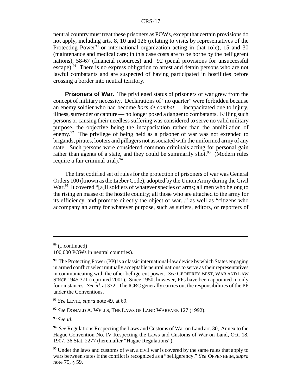neutral country must treat these prisoners as POWs, except that certain provisions do not apply, including arts. 8, 10 and 126 (relating to visits by representatives of the Protecting Power<sup>90</sup> or international organization acting in that role), 15 and 30 (maintenance and medical care; in this case costs are to be borne by the belligerent nations), 58-67 (financial resources) and 92 (penal provisions for unsuccessful escape). $91$  There is no express obligation to arrest and detain persons who are not lawful combatants and are suspected of having participated in hostilities before crossing a border into neutral territory.

**Prisoners of War.** The privileged status of prisoners of war grew from the concept of military necessity. Declarations of "no quarter" were forbidden because an enemy soldier who had become *hors de combat* — incapacitated due to injury, illness, surrender or capture — no longer posed a danger to combatants. Killing such persons or causing their needless suffering was considered to serve no valid military purpose, the objective being the incapacitation rather than the annihilation of enemy.<sup>92</sup> The privilege of being held as a prisoner of war was not extended to brigands, pirates, looters and pillagers not associated with the uniformed army of any state. Such persons were considered common criminals acting for personal gain rather than agents of a state, and they could be summarily shot.<sup>93</sup> (Modern rules require a fair criminal trial).<sup>94</sup>

The first codified set of rules for the protection of prisoners of war was General Orders 100 (known as the Lieber Code), adopted by the Union Army during the Civil War.<sup>95</sup> It covered "[a]ll soldiers of whatever species of arms; all men who belong to the rising en masse of the hostile country; all those who are attached to the army for its efficiency, and promote directly the object of war..." as well as "citizens who accompany an army for whatever purpose, such as sutlers, editors, or reporters of

 $89$  (...continued)

<sup>100,000</sup> POWs in neutral countries).

 $90$  The Protecting Power (PP) is a classic international-law device by which States engaging in armed conflict select mutually acceptable neutral nations to serve as their representatives in communicating with the other belligerent power. *See* GEOFFREY BEST, WAR AND LAW SINCE 1945 371 (reprinted 2001). Since 1950, however, PPs have been appointed in only four instances. *See id.* at 372. The ICRC generally carries out the responsibilities of the PP under the Conventions.

<sup>91</sup> *See* LEVIE, *supra* note 49, at 69.

<sup>92</sup> *See* DONALD A. WELLS, THE LAWS OF LAND WARFARE 127 (1992).

<sup>93</sup> *See id.*

<sup>94</sup> *See* Regulations Respecting the Laws and Customs of War on Land art. 30, Annex to the Hague Convention No. IV Respecting the Laws and Customs of War on Land, Oct. 18, 1907, 36 Stat. 2277 (hereinafter "Hague Regulations").

<sup>&</sup>lt;sup>95</sup> Under the laws and customs of war, a civil war is covered by the same rules that apply to wars between states if the conflict is recognized as a "belligerency." *See* OPPENHEIM, *supra* note 75, § 59.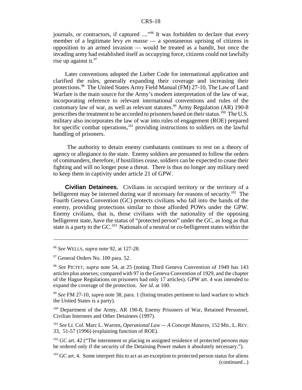journals, or contractors, if captured ...."96 It was forbidden to declare that every member of a legitimate levy *en masse* — a spontaneous uprising of citizens in opposition to an armed invasion — would be treated as a bandit, but once the invading army had established itself as occupying force, citizens could not lawfully rise up against it. $97$ 

Later conventions adopted the Lieber Code for international application and clarified the rules, generally expanding their coverage and increasing their protections.<sup>98</sup> The United States Army Field Manual (FM) 27-10, The Law of Land Warfare is the main source for the Army's modern interpretation of the law of war, incorporating reference to relevant international conventions and rules of the customary law of war, as well as relevant statutes.<sup>99</sup> Army Regulation (AR) 190-8 prescribes the treatment to be accorded to prisoners based on their status.<sup>100</sup> The U.S. military also incorporates the law of war into rules of engagement (ROE) prepared for specific combat operations,<sup>101</sup> providing instructions to soldiers on the lawful handling of prisoners.

 The authority to detain enemy combatants continues to rest on a theory of agency or allegiance to the state. Enemy soldiers are presumed to follow the orders of commanders, therefore, if hostilities cease, soldiers can be expected to cease their fighting and will no longer pose a threat. There is thus no longer any military need to keep them in captivity under article 21 of GPW.

**Civilian Detainees.** Civilians in occupied territory or the territory of a belligerent may be interned during war if necessary for reasons of security.<sup>102</sup> The Fourth Geneva Convention (GC) protects civilians who fall into the hands of the enemy, providing protections similar to those afforded POWs under the GPW. Enemy civilians, that is, those civilians with the nationality of the opposing belligerent state, have the status of "protected person" under the GC, as long as that state is a party to the GC.<sup>103</sup> Nationals of a neutral or co-belligerent states within the

<sup>99</sup> *See* FM 27-10, *supra* note 38, para. 1 (listing treaties pertinent to land warfare to which the United States is a party).

<sup>100</sup> Department of the Army, AR 190-8, Enemy Prisoners of War, Retained Personnel, Civilian Internees and Other Detainees (1997).

<sup>101</sup> *See* Lt. Col. Marc L. Warren, *Operational Law — A Concept Matures*, 152 MIL. L.REV. 33, 51-57 (1996) (explaining function of ROE).

<sup>96</sup> *See* WELLS*, supra* note 92, at 127-28.

<sup>&</sup>lt;sup>97</sup> General Orders No. 100 para. 52.

<sup>98</sup> *See* PICTET, *supra* note 54, at 25 (noting Third Geneva Convention of 1949 has 143 articles plus annexes; compared with 97 in the Geneva Convention of 1929, and the chapter of the Hague Regulations on prisoners had only 17 articles). GPW art. 4 was intended to expand the coverage of the protection. *See id.* at 100.

<sup>&</sup>lt;sup>102</sup> GC art. 42 ("The internment or placing in assigned residence of protected persons may be ordered only if the security of the Detaining Power makes it absolutely necessary.").

 $103$  GC art. 4. Some interpret this to act as an exception to protected person status for aliens (continued...)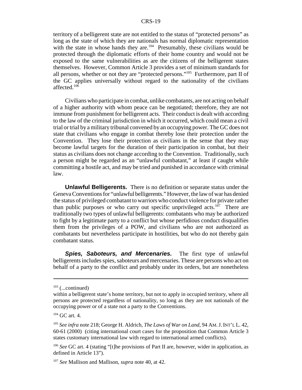territory of a belligerent state are not entitled to the status of "protected persons" as long as the state of which they are nationals has normal diplomatic representation with the state in whose hands they are.<sup>104</sup> Presumably, these civilians would be protected through the diplomatic efforts of their home country and would not be exposed to the same vulnerabilities as are the citizens of the belligerent states themselves. However, Common Article 3 provides a set of minimum standards for all persons, whether or not they are "protected persons."105 Furthermore, part II of the GC applies universally without regard to the nationality of the civilians affected. $10\overline{6}$ 

Civilians who participate in combat, unlike combatants, are not acting on behalf of a higher authority with whom peace can be negotiated; therefore, they are not immune from punishment for belligerent acts. Their conduct is dealt with according to the law of the criminal jurisdiction in which it occurred, which could mean a civil trial or trial by a military tribunal convened by an occupying power. The GC does not state that civilians who engage in combat thereby lose their protection under the Convention. They lose their protection as civilians in the sense that they may become lawful targets for the duration of their participation in combat, but their status as civilians does not change according to the Convention. Traditionally, such a person might be regarded as an "unlawful combatant," at least if caught while committing a hostile act, and may be tried and punished in accordance with criminal law.

**Unlawful Belligerents.** There is no definition or separate status under the Geneva Conventions for "unlawful belligerents." However, the law of war has denied the status of privileged combatant to warriors who conduct violence for private rather than public purposes or who carry out specific unprivileged acts.<sup>107</sup> There are traditionally two types of unlawful belligerents: combatants who may be authorized to fight by a legitimate party to a conflict but whose perfidious conduct disqualifies them from the privileges of a POW, and civilians who are not authorized as combatants but nevertheless participate in hostilities, but who do not thereby gain combatant status.

*Spies, Saboteurs, and Mercenaries.* The first type of unlawful belligerents includes spies, saboteurs and mercenaries. These are persons who act on behalf of a party to the conflict and probably under its orders, but are nonetheless

 $103$  (...continued)

within a belligerent state's home territory, but not to apply in occupied territory, where all persons are protected regardless of nationality, so long as they are not nationals of the occupying power or of a state not a party to the Conventions.

<sup>104</sup> GC art*.* 4.

<sup>105</sup> *See infra* note 218; George H. Aldrich, *The Laws of War on Land*, 94 AM.J.INT'L L. 42, 60-61 (2000) (citing international court cases for the proposition that Common Article 3 states customary international law with regard to international armed conflicts).

<sup>106</sup> *See* GC art. 4 (stating "[t]he provisions of Part II are, however, wider in application, as defined in Article 13").

<sup>107</sup> *See* Mallison and Mallison, *supra* note 40, at 42.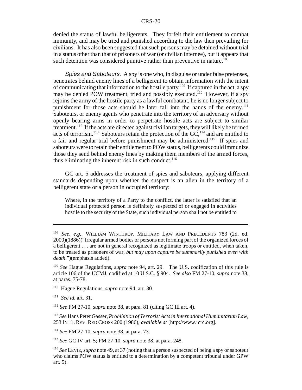denied the status of lawful belligerents. They forfeit their entitlement to combat immunity, and may be tried and punished according to the law then prevailing for civilians. It has also been suggested that such persons may be detained without trial in a status other than that of prisoners of war (or civilian internee), but it appears that such detention was considered punitive rather than preventive in nature.<sup>108</sup>

*Spies and Saboteurs.* A spy is one who, in disguise or under false pretenses, penetrates behind enemy lines of a belligerent to obtain information with the intent of communicating that information to the hostile party.<sup>109</sup> If captured in the act, a spy may be denied POW treatment, tried and possibly executed.<sup>110</sup> However, if a spy rejoins the army of the hostile party as a lawful combatant, he is no longer subject to punishment for those acts should he later fall into the hands of the enemy.<sup>111</sup> Saboteurs, or enemy agents who penetrate into the territory of an adversary without openly bearing arms in order to perpetrate hostile acts are subject to similar treatment.112 If the acts are directed against civilian targets, they will likely be termed acts of terrorism.<sup>113</sup> Saboteurs retain the protection of the  $GC$ ,<sup>114</sup> and are entitled to a fair and regular trial before punishment may be administered.<sup>115</sup> If spies and saboteurs were to retain their entitlement to POW status, belligerents could immunize those they send behind enemy lines by making them members of the armed forces, thus eliminating the inherent risk in such conduct.<sup>116</sup>

GC art. 5 addresses the treatment of spies and saboteurs, applying different standards depending upon whether the suspect is an alien in the territory of a belligerent state or a person in occupied territory:

Where, in the territory of a Party to the conflict, the latter is satisfied that an individual protected person is definitely suspected of or engaged in activities hostile to the security of the State, such individual person shall not be entitled to

<sup>108</sup> *See, e.g.,* WILLIAM WINTHROP, MILITARY LAW AND PRECEDENTS 783 (2d. ed. 2000)(1886)("Irregular armed bodies or persons not forming part of the organized forces of a belligerent . . . are not in general recognized as legitimate troops or entitled, when taken, to be treated as prisoners of war, *but may upon capture be summarily punished even with death*.")(emphasis added).

<sup>109</sup> *See* Hague Regulations, *supra* note 94, art. 29. The U.S. codification of this rule is article 106 of the UCMJ, codified at 10 U.S.C. § 904. *See also* FM 27-10, *supra* note 38, at paras. 75-78.

<sup>110</sup> Hague Regulations*, supra* note 94, art. 30.

<sup>111</sup> *See id.* art. 31.

<sup>112</sup> *See* FM 27-10, *supra* note 38, at para. 81 (citing GC III art. 4).

<sup>113</sup> *See* Hans Peter Gasser, *Prohibition of Terrorist Acts in International Humanitarian Law*, 253 INT'L REV. RED CROSS 200 (1986), *available at* [http://www.icrc.org].

<sup>114</sup> *See* FM 27-10, *supra* note 38, at para. 73.

<sup>115</sup> *See* GC IV art. 5; FM 27-10, *supra* note 38, at para. 248.

<sup>116</sup> *See* LEVIE, *supra* note 49, at 37 (noting that a person suspected of being a spy or saboteur who claims POW status is entitled to a determination by a competent tribunal under GPW art. 5).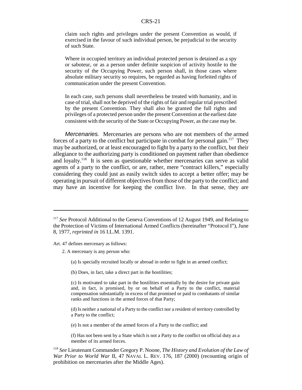claim such rights and privileges under the present Convention as would, if exercised in the favour of such individual person, be prejudicial to the security of such State.

Where in occupied territory an individual protected person is detained as a spy or saboteur, or as a person under definite suspicion of activity hostile to the security of the Occupying Power, such person shall, in those cases where absolute military security so requires, be regarded as having forfeited rights of communication under the present Convention.

In each case, such persons shall nevertheless be treated with humanity, and in case of trial, shall not be deprived of the rights of fair and regular trial prescribed by the present Convention. They shall also be granted the full rights and privileges of a protected person under the present Convention at the earliest date consistent with the security of the State or Occupying Power, as the case may be.

*Mercenaries.* Mercenaries are persons who are not members of the armed forces of a party to the conflict but participate in combat for personal gain.<sup>117</sup> They may be authorized, or at least encouraged to fight by a party to the conflict, but their allegiance to the authorizing party is conditioned on payment rather than obedience and loyalty.<sup>118</sup> It is seen as questionable whether mercenaries can serve as valid agents of a party to the conflict, or are, rather, mere "contract killers," especially considering they could just as easily switch sides to accept a better offer; may be operating in pursuit of different objectives from those of the party to the conflict; and may have an incentive for keeping the conflict live. In that sense, they are

Art. 47 defines mercenary as follows:

2. A mercenary is any person who:

(a) Is specially recruited locally or abroad in order to fight in an armed conflict;

(b) Does, in fact, take a direct part in the hostilities;

(c) Is motivated to take part in the hostilities essentially by the desire for private gain and, in fact, is promised, by or on behalf of a Party to the conflict, material compensation substantially in excess of that promised or paid to combatants of similar ranks and functions in the armed forces of that Party;

(d) Is neither a national of a Party to the conflict nor a resident of territory controlled by a Party to the conflict;

(e) Is not a member of the armed forces of a Party to the conflict; and

(f) Has not been sent by a State which is not a Party to the conflict on official duty as a member of its armed forces.

<sup>118</sup> *See* Lieutenant Commander Gregory P. Noone, *The History and Evolution of the Law of War Prior to World War* II, 47 NAVAL L. REV. 176, 187 (2000) (recounting origin of prohibition on mercenaries after the Middle Ages).

<sup>117</sup> *See* Protocol Additional to the Geneva Conventions of 12 August 1949, and Relating to the Protection of Victims of International Armed Conflicts (hereinafter "Protocol I"), June 8, 1977, *reprinted in* 16 I.L.M. 1391.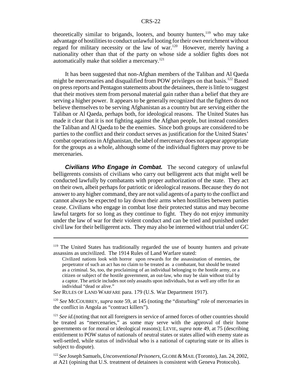theoretically similar to brigands, looters, and bounty hunters, $119$  who may take advantage of hostilities to conduct unlawful looting for their own enrichment without regard for military necessity or the law of war.<sup>120</sup> However, merely having a nationality other than that of the party on whose side a soldier fights does not automatically make that soldier a mercenary.<sup>121</sup>

It has been suggested that non-Afghan members of the Taliban and Al Qaeda might be mercenaries and disqualified from POW privileges on that basis.<sup>122</sup> Based on press reports and Pentagon statements about the detainees, there is little to suggest that their motives stem from personal material gain rather than a belief that they are serving a higher power. It appears to be generally recognized that the fighters do not believe themselves to be serving Afghanistan as a country but are serving either the Taliban or Al Qaeda, perhaps both, for ideological reasons. The United States has made it clear that it is not fighting against the Afghan people, but instead considers the Taliban and Al Qaeda to be the enemies. Since both groups are considered to be parties to the conflict and their conduct serves as justification for the United States' combat operations in Afghanistan, the label of mercenary does not appear appropriate for the groups as a whole, although some of the individual fighters may prove to be mercenaries.

*Civilians Who Engage in Combat.* The second category of unlawful belligerents consists of civilians who carry out belligerent acts that might well be conducted lawfully by combatants with proper authorization of the state. They act on their own, albeit perhaps for patriotic or ideological reasons. Because they do not answer to any higher command, they are not valid agents of a party to the conflict and cannot always be expected to lay down their arms when hostilities between parties cease. Civilians who engage in combat lose their protected status and may become lawful targets for so long as they continue to fight. They do not enjoy immunity under the law of war for their violent conduct and can be tried and punished under civil law for their belligerent acts. They may also be interned without trial under GC

<sup>&</sup>lt;sup>119</sup> The United States has traditionally regarded the use of bounty hunters and private assassins as uncivilized. The 1914 Rules of Land Warfare stated:

Civilized nations look with horror upon rewards for the assassination of enemies, the perpetrator of such an act has no claim to be treated as a combatant, but should be treated as a criminal. So, too, the proclaiming of an individual belonging to the hostile army, or a citizen or subject of the hostile government, an out-law, who may be slain without trial by a captor. The article includes not only assaults upon individuals, but as well any offer for an individual "dead or alive."

*See* RULES OF LAND WARFARE para. 179 (U.S. War Department 1917).

<sup>120</sup> *See* MCCOUBREY, *supra* note 59, at 145 (noting the "disturbing" role of mercenaries in the conflict in Angola as "contract killers").

<sup>&</sup>lt;sup>121</sup> See id. (noting that not all foreigners in service of armed forces of other countries should be treated as "mercenaries," as some may serve with the approval of their home governments or for moral or ideological reasons); LEVIE, *supra* note 49, at 75 (describing entitlement to POW status of nationals of neutral states or states allied with enemy state as well-settled, while status of individual who is a national of capturing state or its allies is subject to dispute).

<sup>&</sup>lt;sup>122</sup> See Joseph Samuels, *Unconventional Prisoners*, GLOBE & MAIL (Toronto), Jan. 24, 2002, at A21 (opining that U.S. treatment of detainees is consistent with Geneva Protocols).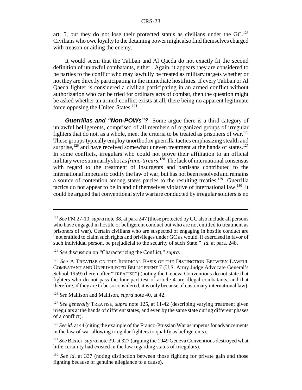art. 5, but they do not lose their protected status as civilians under the  $GC$ <sup>123</sup> Civilians who owe loyalty to the detaining power might also find themselves charged with treason or aiding the enemy.

It would seem that the Taliban and Al Qaeda do not exactly fit the second definition of unlawful combatants, either. Again, it appears they are considered to be parties to the conflict who may lawfully be treated as military targets whether or not they are directly participating in the immediate hostilities. If every Taliban or Al Qaeda fighter is considered a civilian participating in an armed conflict without authorization who can be tried for ordinary acts of combat, then the question might be asked whether an armed conflict exists at all, there being no apparent legitimate force opposing the United States.<sup>124</sup>

*Guerrillas and "Non-POWs"?* Some argue there is a third category of unlawful belligerents, comprised of all members of organized groups of irregular fighters that do not, as a whole, meet the criteria to be treated as prisoners of war.<sup>125</sup> These groups typically employ unorthodox guerrilla tactics emphasizing stealth and surprise, $126$  and have received somewhat uneven treatment at the hands of states.<sup>127</sup> In some conflicts, irregulars who could not prove their affiliation to an official military were summarily shot as *franc-tireurs*. 128 The lack of international consensus with regard to the treatment of insurgents and partisans contributed to the international impetus to codify the law of war, but has not been resolved and remains a source of contention among states parties to the resulting treaties.<sup>129</sup> Guerrilla tactics do not appear to be in and of themselves violative of international law.130 It could be argued that conventional style warfare conducted by irregular soldiers is no

<sup>126</sup> *See* Mallison and Mallison, *supra* note 40, at 42.

<sup>123</sup> *See* FM 27-10, *supra* note 38, at para 247 (those protected by GC also include all persons who have engaged in hostile or belligerent conduct but who are not entitled to treatment as prisoners of war). Certain civilians who are suspected of engaging in hostile conduct are "not entitled to claim such rights and privileges under GC as would, if exercised in favor of such individual person, be prejudicial to the security of such State." *Id.* at para. 248.

<sup>124</sup> *See* discussion on "Characterizing the Conflict," *supra*.

<sup>&</sup>lt;sup>125</sup> See A TREATISE ON THE JURIDICAL BASIS OF THE DISTINCTION BETWEEN LAWFUL COMBATANT AND UNPRIVILEGED BELLIGERENT 7 (U.S. Army Judge Advocate General's School 1959) (hereinafter "TREATISE") (noting the Geneva Conventions do not state that fighters who do not pass the four part test of article 4 are illegal combatants, and that therefore, if they are to be so considered, it is only because of customary international law).

<sup>127</sup> *See generally* TREATISE, *supra* note 125, at 11-42 (describing varying treatment given irregulars at the hands of different states, and even by the same state during different phases of a conflict).

<sup>&</sup>lt;sup>128</sup> *See id.* at 44 (citing the example of the Franco-Prussian War as impetus for advancements in the law of war allowing irregular fighters to qualify as belligerents).

<sup>129</sup> *See* Baxter, *supra* note 39*,* at 327 (arguing the 1949 Geneva Conventions destroyed what little certainty had existed in the law regarding status of irregulars).

<sup>&</sup>lt;sup>130</sup> *See id.* at 337 (noting distinction between those fighting for private gain and those fighting because of genuine allegiance to a cause).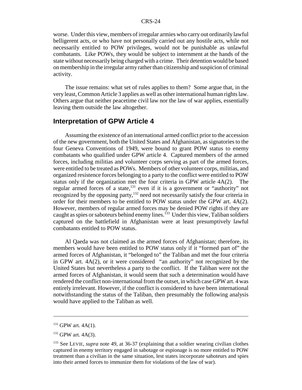worse. Under this view, members of irregular armies who carry out ordinarily lawful belligerent acts, or who have not personally carried out any hostile acts, while not necessarily entitled to POW privileges, would not be punishable as unlawful combatants. Like POWs, they would be subject to internment at the hands of the state without necessarily being charged with a crime. Their detention would be based on membership in the irregular army rather than citizenship and suspicion of criminal activity.

The issue remains: what set of rules applies to them? Some argue that, in the very least, Common Article 3 applies as well as other international human rights law. Others argue that neither peacetime civil law nor the law of war applies, essentially leaving them outside the law altogether.

#### **Interpretation of GPW Article 4**

Assuming the existence of an international armed conflict prior to the accession of the new government, both the United States and Afghanistan, as signatories to the four Geneva Conventions of 1949, were bound to grant POW status to enemy combatants who qualified under GPW article 4. Captured members of the armed forces, including militias and volunteer corps serving as part of the armed forces, were entitled to be treated as POWs. Members of other volunteer corps, militias, and organized resistence forces belonging to a party to the conflict were entitled to POW status only if the organization met the four criteria in GPW article 4A(2). The regular armed forces of a state,<sup>131</sup> even if it is a government or "authority" not recognized by the opposing party,132 need not necessarily satisfy the four criteria in order for their members to be entitled to POW status under the GPW art. 4A(2). However, members of regular armed forces may be denied POW rights if they are caught as spies or saboteurs behind enemy lines.<sup>133</sup> Under this view, Taliban soldiers captured on the battlefield in Afghanistan were at least presumptively lawful combatants entitled to POW status.

Al Qaeda was not claimed as the armed forces of Afghanistan; therefore, its members would have been entitled to POW status only if it "formed part of" the armed forces of Afghanistan, it "belonged to" the Taliban and met the four criteria in GPW art. 4A(2), or it were considered "an authority" not recognized by the United States but nevertheless a party to the conflict. If the Taliban were not the armed forces of Afghanistan, it would seem that such a determination would have rendered the conflict non-international from the outset, in which case GPW art. 4 was entirely irrelevant. However, if the conflict is considered to have been international notwithstanding the status of the Taliban, then presumably the following analysis would have applied to the Taliban as well.

 $131$  GPW art.  $4A(1)$ .

 $132$  GPW art. 4A(3).

<sup>&</sup>lt;sup>133</sup> See LEVIE, *supra* note 49, at 36-37 (explaining that a soldier wearing civilian clothes captured in enemy territory engaged in sabotage or espionage is no more entitled to POW treatment than a civilian in the same situation, lest states incorporate saboteurs and spies into their armed forces to immunize them for violations of the law of war).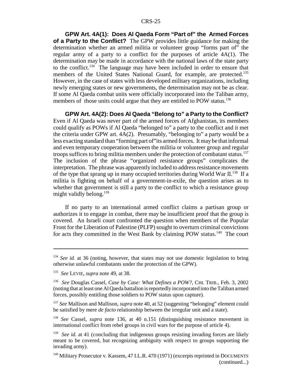**GPW Art. 4A(1): Does Al Qaeda Form "Part of" the Armed Forces of a Party to the Conflict?** The GPW provides little guidance for making the determination whether an armed militia or volunteer group "forms part of" the regular army of a party to a conflict for the purposes of article 4A(1). The determination may be made in accordance with the national laws of the state party to the conflict.<sup>134</sup> The language may have been included in order to ensure that members of the United States National Guard, for example, are protected.<sup>135</sup> However, in the case of states with less developed military organizations, including newly emerging states or new governments, the determination may not be as clear. If some Al Qaeda combat units were officially incorporated into the Taliban army, members of those units could argue that they are entitled to POW status.<sup>136</sup>

**GPW Art. 4A(2): Does Al Qaeda "Belong to" a Party to the Conflict?** Even if Al Qaeda was never part of the armed forces of Afghanistan, its members could qualify as POWs if Al Qaeda "belonged to" a party to the conflict and it met the criteria under GPW art. 4A(2). Presumably, "belonging to" a party would be a less exacting standard than "forming part of"its armed forces. It may be that informal and even temporary cooperation between the militia or volunteer group and regular troops suffices to bring militia members under the protection of combatant status.<sup>137</sup> The inclusion of the phrase "organized resistance groups" complicates the interpretation. The phrase was apparently included to address resistance movements of the type that sprang up in many occupied territories during World War  $II^{138}$  If a militia is fighting on behalf of a government-in-exile, the question arises as to whether that government is still a party to the conflict to which a resistance group might validly belong.<sup>139</sup>

If no party to an international armed conflict claims a partisan group or authorizes it to engage in combat, there may be insufficient proof that the group is covered. An Israeli court confronted the question when members of the Popular Front for the Liberation of Palestine (PLFP) sought to overturn criminal convictions for acts they committed in the West Bank by claiming POW status.<sup>140</sup> The court

<sup>&</sup>lt;sup>134</sup> *See id.* at 36 (noting, however, that states may not use domestic legislation to bring otherwise unlawful combatants under the protection of the GPW).

<sup>135</sup> *See* LEVIE, *supra* note 49, at 38.

<sup>136</sup> *See* Douglas Cassel, *Case by Case: What Defines a POW?*, CHI. TRIB., Feb. 3, 2002 (noting that at least one Al Qaeda battalion is reportedly incorporated into the Taliban armed forces, possibly entitling those soldiers to POW status upon capture).

<sup>137</sup> *See* Mallison and Mallison, *supra* note 40, at 52 (suggesting "belonging" element could be satisfied by mere *de facto* relationship between the irregular unit and a state).

<sup>138</sup> *See* Cassel, *supra* note 136*,* at 40 n.151 (distinguishing resistance movement in international conflict from rebel groups in civil wars for the purpose of article 4).

<sup>&</sup>lt;sup>139</sup> *See id.* at 41 (concluding that indigenous groups resisting invading forces are likely meant to be covered, but recognizing ambiguity with respect to groups supporting the invading army).

<sup>&</sup>lt;sup>140</sup> Military Prosecutor v. Kassem, 47 I.L.R. 470 (1971) (excerpts reprinted in DOCUMENTS (continued...)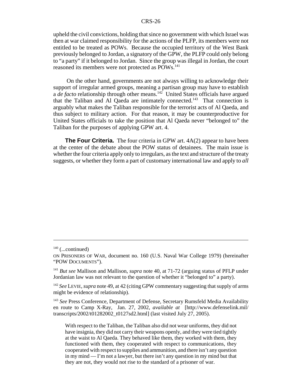upheld the civil convictions, holding that since no government with which Israel was then at war claimed responsibility for the actions of the PLFP, its members were not entitled to be treated as POWs. Because the occupied territory of the West Bank previously belonged to Jordan, a signatory of the GPW, the PLFP could only belong to "a party" if it belonged to Jordan. Since the group was illegal in Jordan, the court reasoned its members were not protected as POWs.<sup>141</sup>

 On the other hand, governments are not always willing to acknowledge their support of irregular armed groups, meaning a partisan group may have to establish a *de facto* relationship through other means.<sup>142</sup> United States officials have argued that the Taliban and Al Qaeda are intimately connected.143 That connection is arguably what makes the Taliban responsible for the terrorist acts of Al Qaeda, and thus subject to military action. For that reason, it may be counterproductive for United States officials to take the position that Al Qaeda never "belonged to" the Taliban for the purposes of applying GPW art. 4.

**The Four Criteria.** The four criteria in GPW art.  $4A(2)$  appear to have been at the center of the debate about the POW status of detainees. The main issue is whether the four criteria apply only to irregulars, as the text and structure of the treaty suggests, or whether they form a part of customary international law and apply to *all*

 $140$  (...continued)

ON PRISONERS OF WAR, document no. 160 (U.S. Naval War College 1979) (hereinafter "POW DOCUMENTS").

<sup>141</sup> *But see* Mallison and Mallison, *supra* note 40, at 71-72 (arguing status of PFLP under Jordanian law was not relevant to the question of whether it "belonged to" a party).

<sup>142</sup> *See* LEVIE, *supra* note 49, at 42 (citing GPW commentary suggesting that supply of arms might be evidence of relationship).

<sup>143</sup> *See* Press Conference, Department of Defense, Secretary Rumsfeld Media Availability en route to Camp X-Ray, Jan. 27, 2002, *available at* [http://www.defenselink.mil/ transcripts/2002/t01282002\_t0127sd2.html] (last visited July 27, 2005).

With respect to the Taliban, the Taliban also did not wear uniforms, they did not have insignia, they did not carry their weapons openly, and they were tied tightly at the waist to Al Qaeda. They behaved like them, they worked with them, they functioned with them, they cooperated with respect to communications, they cooperated with respect to supplies and ammunition, and there isn't any question in my mind — I'm not a lawyer, but there isn't any question in my mind but that they are not, they would not rise to the standard of a prisoner of war.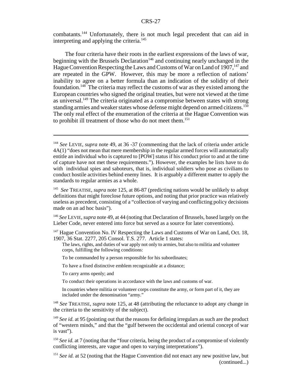combatants.144 Unfortunately, there is not much legal precedent that can aid in interpreting and applying the criteria.<sup>145</sup>

The four criteria have their roots in the earliest expressions of the laws of war, beginning with the Brussels Declaration<sup>146</sup> and continuing nearly unchanged in the Hague Convention Respecting the Laws and Customs of War on Land of 1907,  $147$  and are repeated in the GPW. However, this may be more a reflection of nations' inability to agree on a better formula than an indication of the solidity of their foundation.148 The criteria may reflect the customs of war as they existed among the European countries who signed the original treaties, but were not viewed at the time as universal.149 The criteria originated as a compromise between states with strong standing armies and weaker states whose defense might depend on armed citizens.<sup>150</sup> The only real effect of the enumeration of the criteria at the Hague Convention was to prohibit ill treatment of those who do not meet them.<sup>151</sup>

- To be commanded by a person responsible for his subordinates;
- To have a fixed distinctive emblem recognizable at a distance;
- To carry arms openly; and
- To conduct their operations in accordance with the laws and customs of war.

In countries where militia or volunteer corps constitute the army, or form part of it, they are included under the denomination "army."

<sup>148</sup> *See* TREATISE, *supra* note 125, at 48 (attributing the reluctance to adopt any change in the criteria to the sensitivity of the subject).

<sup>149</sup> *See id.* at 95 (pointing out that the reasons for defining irregulars as such are the product of "western minds," and that the "gulf between the occidental and oriental concept of war is vast").

<sup>150</sup> *See id.* at 7 (noting that the "four criteria, being the product of a compromise of violently conflicting interests, are vague and open to varying interpretations").

<sup>151</sup> *See id.* at 52 (noting that the Hague Convention did not enact any new positive law, but (continued...)

<sup>144</sup> *See* LEVIE, *supra* note 49, at 36 -37 (commenting that the lack of criteria under article 4A(1) "does not mean that mere membership in the regular armed forces will automatically entitle an individual who is captured to [POW] status if his conduct prior to and at the time of capture have not met these requirements."). However, the examples he lists have to do with individual spies and saboteurs, that is, individual soldiers who pose as civilians to conduct hostile activities behind enemy lines. It is arguably a different matter to apply the standards to regular armies as a whole.

<sup>145</sup> *See* TREATISE, *supra* note 125, at 86-87 (predicting nations would be unlikely to adopt definitions that might foreclose future options, and noting that prior practice was relatively useless as precedent, consisting of a "collection of varying and conflicting policy decisions made on an ad hoc basis").

<sup>146</sup> *See* LEVIE, *supra* note 49, at 44 (noting that Declaration of Brussels, based largely on the Lieber Code, never entered into force but served as a source for later conventions).

<sup>&</sup>lt;sup>147</sup> Hague Convention No. IV Respecting the Laws and Customs of War on Land, Oct. 18, 1907, 36 Stat. 2277, 205 Consol. T.S. 277. Article 1 states:

The laws, rights, and duties of war apply not only to armies, but also to militia and volunteer corps, fulfilling the following conditions: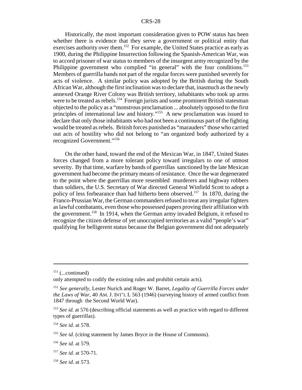Historically, the most important consideration given to POW status has been whether there is evidence that they serve a government or political entity that exercises authority over them.<sup>152</sup> For example, the United States practice as early as 1900, during the Philippine Insurrection following the Spanish-American War, was to accord prisoner of war status to members of the insurgent army recognized by the Philippine government who complied "in general" with the four conditions.<sup>153</sup> Members of guerrilla bands not part of the regular forces were punished severely for acts of violence. A similar policy was adopted by the British during the South African War, although the first inclination was to declare that, inasmuch as the newly annexed Orange River Colony was British territory, inhabitants who took up arms were to be treated as rebels.<sup>154</sup> Foreign jurists and some prominent British statesman objected to the policy as a "monstrous proclamation ... absolutely opposed to the first principles of international law and history."155 A new proclamation was issued to declare that only those inhabitants who had not been a continuous part of the fighting would be treated as rebels. British forces punished as "marauders" those who carried out acts of hostility who did not belong to "an organized body authorized by a recognized Government."156

On the other hand, toward the end of the Mexican War, in 1847, United States forces changed from a more tolerant policy toward irregulars to one of utmost severity. By that time, warfare by bands of guerrillas sanctioned by the late Mexican government had become the primary means of resistance. Once the war degenerated to the point where the guerrillas more resembled murderers and highway robbers than soldiers, the U.S. Secretary of War directed General Winfield Scott to adopt a policy of less forbearance than had hitherto been observed.<sup>157</sup> In 1870, during the Franco-Prussian War, the German commanders refused to treat any irregular fighters as lawful combatants, even those who possessed papers proving their affiliation with the government.<sup>158</sup> In 1914, when the German army invaded Belgium, it refused to recognize the citizen defense of yet unoccupied territories as a valid "people's war" qualifying for belligerent status because the Belgian government did not adequately

 $151$  (...continued)

only attempted to codify the existing rules and prohibit certain acts).

<sup>152</sup> *See generally,* Lester Nurich and Roger W. Barret, *Legality of Guerrilla Forces under the Laws of War*, 40 AM. J. INT'L L 563 (1946) (surveying history of armed conflict from 1847 through the Second World War).

<sup>&</sup>lt;sup>153</sup> See id. at 576 (describing official statements as well as practice with regard to different types of guerrillas).

<sup>154</sup> *See id.* at 578.

<sup>&</sup>lt;sup>155</sup> *See id.* (citing statement by James Bryce in the House of Commons).

<sup>156</sup> *See id.* at 579.

<sup>157</sup> *See id.* at 570-71.

<sup>158</sup> *See id.* at 573.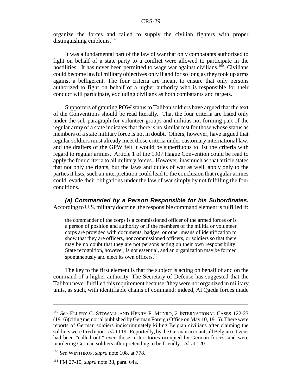organize the forces and failed to supply the civilian fighters with proper distinguishing emblems.<sup>159</sup>

It was a fundamental part of the law of war that only combatants authorized to fight on behalf of a state party to a conflict were allowed to participate in the hostilities. It has never been permitted to wage war against civilians.<sup>160</sup> Civilians could become lawful military objectives only if and for so long as they took up arms against a belligerent. The four criteria are meant to ensure that only persons authorized to fight on behalf of a higher authority who is responsible for their conduct will participate, excluding civilians as both combatants and targets.

Supporters of granting POW status to Taliban soldiers have argued that the text of the Conventions should be read literally. That the four criteria are listed only under the sub-paragraph for volunteer groups and militias not forming part of the regular army of a state indicates that there is no similar test for those whose status as members of a state military force is not in doubt. Others, however, have argued that regular soldiers must already meet those criteria under customary international law, and the drafters of the GPW felt it would be superfluous to list the criteria with regard to regular armies. Article 1 of the 1907 Hague Convention could be read to apply the four criteria to all military forces. However, inasmuch as that article states that not only the rights, but the laws and duties of war as well, apply only to the parties it lists, such an interpretation could lead to the conclusion that regular armies could evade their obligations under the law of war simply by not fulfilling the four conditions.

*(a) Commanded by a Person Responsible for his Subordinates.* According to U.S. military doctrine, the responsible command element is fulfilled if:

the commander of the corps is a commissioned officer of the armed forces or is a person of position and authority or if the members of the militia or volunteer corps are provided with documents, badges, or other means of identification to show that they are officers, noncommissioned officers, or soldiers so that there may be no doubt that they are not persons acting on their own responsibility. State recognition, however, is not essential, and an organization may be formed spontaneously and elect its own officers.<sup>161</sup>

The key to the first element is that the subject is acting on behalf of and on the command of a higher authority. The Secretary of Defense has suggested that the Taliban never fulfilled this requirement because "they were not organized in military units, as such, with identifiable chains of command; indeed, Al Qaeda forces made

<sup>&</sup>lt;sup>159</sup> See ELLERY C. STOWALL AND HENRY F. MUNRO, 2 INTERNATIONAL CASES 122-23 (1916)(citing memorial published by German Foreign Office on May 10, 1915). There were reports of German soldiers indiscriminately killing Belgian civilians after claiming the soldiers were fired upon. *Id* at 119. Reportedly, by the German account, all Belgian citizens had been "called out," even those in territories occupied by German forces, and were murdering German soldiers after pretending to be friendly. *Id.* at 120.

<sup>160</sup> *See* WINTHROP, *supra* note 108, at 778.

<sup>161</sup> FM 27-10, *supra* note 38, para. 64a.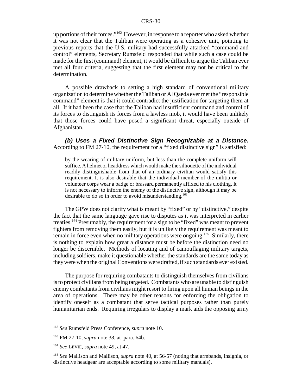up portions of their forces."162 However, in response to a reporter who asked whether it was not clear that the Taliban were operating as a cohesive unit, pointing to previous reports that the U.S. military had successfully attacked "command and control" elements, Secretary Rumsfeld responded that while such a case could be made for the first (command) element, it would be difficult to argue the Taliban ever met all four criteria, suggesting that the first element may not be critical to the determination.

A possible drawback to setting a high standard of conventional military organization to determine whether the Taliban or Al Qaeda ever met the "responsible command" element is that it could contradict the justification for targeting them at all. If it had been the case that the Taliban had insufficient command and control of its forces to distinguish its forces from a lawless mob, it would have been unlikely that those forces could have posed a significant threat, especially outside of Afghanistan.

*(b) Uses a Fixed Distinctive Sign Recognizable at a Distance.* According to FM 27-10, the requirement for a "fixed distinctive sign" is satisfied:

by the wearing of military uniform, but less than the complete uniform will suffice. A helmet or headdress which would make the silhouette of the individual readily distinguishable from that of an ordinary civilian would satisfy this requirement. It is also desirable that the individual member of the militia or volunteer corps wear a badge or brassard permanently affixed to his clothing. It is not necessary to inform the enemy of the distinctive sign, although it may be desirable to do so in order to avoid misunderstanding.<sup>163</sup>

The GPW does not clarify what is meant by "fixed" or by "distinctive," despite the fact that the same language gave rise to disputes as it was interpreted in earlier treaties.164 Presumably, the requirement for a sign to be "fixed" was meant to prevent fighters from removing them easily, but it is unlikely the requirement was meant to remain in force even when no military operations were ongoing.<sup>165</sup> Similarly, there is nothing to explain how great a distance must be before the distinction need no longer be discernible. Methods of locating and of camouflaging military targets, including soldiers, make it questionable whether the standards are the same today as they were when the original Conventions were drafted, if such standards ever existed.

The purpose for requiring combatants to distinguish themselves from civilians is to protect civilians from being targeted. Combatants who are unable to distinguish enemy combatants from civilians might resort to firing upon all human beings in the area of operations. There may be other reasons for enforcing the obligation to identify oneself as a combatant that serve tactical purposes rather than purely humanitarian ends. Requiring irregulars to display a mark aids the opposing army

<sup>162</sup> *See* Rumsfeld Press Conference, *supra* note 10.

<sup>163</sup> FM 27-10, *supra* note 38, at para. 64b.

<sup>164</sup> *See* LEVIE, *supra* note 49, at 47.

<sup>165</sup> *See* Mallison and Mallison, *supra* note 40, at 56-57 (noting that armbands, insignia, or distinctive headgear are acceptable according to some military manuals).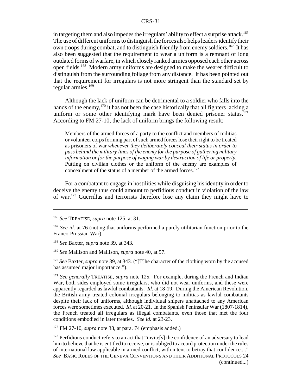in targeting them and also impedes the irregulars' ability to effect a surprise attack.<sup>166</sup> The use of different uniforms to distinguish the forces also helps leaders identify their own troops during combat, and to distinguish friendly from enemy soldiers.<sup>167</sup> It has also been suggested that the requirement to wear a uniform is a remnant of long outdated forms of warfare, in which closely ranked armies opposed each other across open fields.168 Modern army uniforms are designed to make the wearer difficult to distinguish from the surrounding foliage from any distance. It has been pointed out that the requirement for irregulars is not more stringent than the standard set by regular armies.<sup>169</sup>

Although the lack of uniform can be detrimental to a soldier who falls into the hands of the enemy, $170$  it has not been the case historically that all fighters lacking a uniform or some other identifying mark have been denied prisoner status. $^{171}$ According to FM 27-10, the lack of uniform brings the following result:

Members of the armed forces of a party to the conflict and members of militias or volunteer corps forming part of such armed forces lose their right to be treated as prisoners of war *whenever they deliberately conceal their status in order to pass behind the military lines of the enemy for the purpose of gathering military information or for the purpose of waging war by destruction of life or property.* Putting on civilian clothes or the uniform of the enemy are examples of concealment of the status of a member of the armed forces.<sup>172</sup>

For a combatant to engage in hostilities while disguising his identity in order to deceive the enemy thus could amount to perfidious conduct in violation of the law of war.173 Guerrillas and terrorists therefore lose any claim they might have to

<sup>170</sup> *See* Baxter, *supra* note 39, at 343. ("[T]he character of the clothing worn by the accused has assumed major importance.").

<sup>171</sup> *See generally* TREATISE, *supra* note 125. For example, during the French and Indian War, both sides employed some irregulars, who did not wear uniforms, and these were apparently regarded as lawful combatants. *Id.* at 18-19. During the American Revolution, the British army treated colonial irregulars belonging to militias as lawful combatants despite their lack of uniforms, although individual snipers unattached to any American forces were sometimes executed. *Id.* at 20-21. In the Spanish Peninsular War (1807-1814), the French treated all irregulars as illegal combatants, even those that met the four conditions embodied in later treaties. *See id.* at 23-23.

<sup>172</sup> FM 27-10, *supra* note 38, at para. 74 (emphasis added.)

 $173$  Perfidious conduct refers to an act that "invite<sup>[s]</sup> the confidence of an adversary to lead him to believe that he is entitled to receive, or is obliged to accord protection under the rules of international law applicable in armed conflict, with intent to betray that confidence...." *See* BASIC RULES OF THE GENEVA CONVENTIONS AND THEIR ADDITIONAL PROTOCOLS 24 (continued...)

<sup>166</sup> *See* TREATISE, *supra* note 125, at 31.

<sup>&</sup>lt;sup>167</sup> *See id.* at 76 (noting that uniforms performed a purely utilitarian function prior to the Franco-Prussian War).

<sup>168</sup> *See* Baxter, *supra* note 39, at 343.

<sup>169</sup> *See* Mallison and Mallison, *supra* note 40, at 57.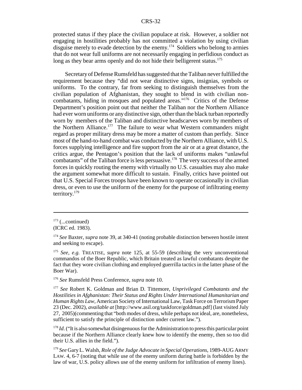protected status if they place the civilian populace at risk. However, a soldier not engaging in hostilities probably has not committed a violation by using civilian disguise merely to evade detection by the enemy.<sup>174</sup> Soldiers who belong to armies that do not wear full uniforms are not necessarily engaging in perfidious conduct as long as they bear arms openly and do not hide their belligerent status.<sup>175</sup>

Secretary of Defense Rumsfeld has suggested that the Taliban never fulfilled the requirement because they "did not wear distinctive signs, insignias, symbols or uniforms. To the contrary, far from seeking to distinguish themselves from the civilian population of Afghanistan, they sought to blend in with civilian noncombatants, hiding in mosques and populated areas."176 Critics of the Defense Department's position point out that neither the Taliban nor the Northern Alliance had ever worn uniforms or any distinctive sign, other than the black turban reportedly worn by members of the Taliban and distinctive headscarves worn by members of the Northern Alliance.<sup>177</sup> The failure to wear what Western commanders might regard as proper military dress may be more a matter of custom than perfidy. Since most of the hand-to-hand combat was conducted by the Northern Alliance, with U.S. forces supplying intelligence and fire support from the air or at a great distance, the critics argue, the Pentagon's position that the lack of uniforms makes "unlawful combatants" of the Taliban force is less persuasive.<sup>178</sup> The very success of the armed forces in quickly routing the enemy with virtually no U.S. casualties may also make the argument somewhat more difficult to sustain. Finally, critics have pointed out that U.S. Special Forces troops have been known to operate occasionally in civilian dress, or even to use the uniform of the enemy for the purpose of infiltrating enemy territory.179

<sup>176</sup> *See* Rumsfeld Press Conference, *supra* note 10.

 $173$  (...continued)

<sup>(</sup>ICRC ed. 1983).

<sup>174</sup> *See* Baxter, *supra* note 39, at 340-41 (noting probable distinction between hostile intent and seeking to escape).

<sup>175</sup> *See, e.g.* TREATISE, *supra* note 125, at 55-59 (describing the very unconventional commandos of the Boer Republic, which Britain treated as lawful combatants despite the fact that they wore civilian clothing and employed guerrilla tactics in the latter phase of the Boer War).

<sup>177</sup> *See* Robert K. Goldman and Brian D. Tittemore, *Unprivileged Combatants and the Hostilities in Afghanistan: Their Status and Rights Under International Humanitarian and Human Rights Law*, American Society of International Law, Task Force on Terrorism Paper 23 (Dec. 2002), *available at* [http://www.asil.org/taskforce/goldman.pdf] (last visited July 27, 2005)(commenting that "both modes of dress, while perhaps not ideal, are, nonetheless, sufficient to satisfy the principle of distinction under current law.").

<sup>&</sup>lt;sup>178</sup> *Id.* ("It is also somewhat disingenuous for the Administration to press this particular point because if the Northern Alliance clearly knew how to identify the enemy, then so too did their U.S. allies in the field.").

<sup>179</sup> *See* Gary L. Walsh, *Role of the Judge Advocate in Special Operations*, 1989-AUG ARMY LAW. 4, 6-7 (noting that while use of the enemy uniform during battle is forbidden by the law of war, U.S. policy allows use of the enemy uniform for infiltration of enemy lines).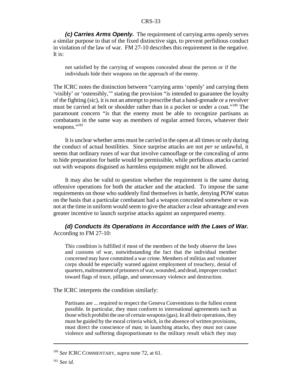*(c) Carries Arms Openly.* The requirement of carrying arms openly serves a similar purpose to that of the fixed distinctive sign, to prevent perfidious conduct in violation of the law of war. FM 27-10 describes this requirement in the negative. It is:

not satisfied by the carrying of weapons concealed about the person or if the individuals hide their weapons on the approach of the enemy.

The ICRC notes the distinction between "carrying arms 'openly' and carrying them 'visibly' or 'ostensibly,'" stating the provision "is intended to guarantee the loyalty of the fighting (sic), it is not an attempt to prescribe that a hand-grenade or a revolver must be carried at belt or shoulder rather than in a pocket or under a coat."<sup>180</sup> The paramount concern "is that the enemy must be able to recognize partisans as combatants in the same way as members of regular armed forces, whatever their weapons."<sup>181</sup>

It is unclear whether arms must be carried in the open at all times or only during the conduct of actual hostilities. Since surprise attacks are not *per se* unlawful, it seems that ordinary ruses of war that involve camouflage or the concealing of arms to hide preparation for battle would be permissible, while perfidious attacks carried out with weapons disguised as harmless equipment might not be allowed.

It may also be valid to question whether the requirement is the same during offensive operations for both the attacker and the attacked. To impose the same requirements on those who suddenly find themselves in battle, denying POW status on the basis that a particular combatant had a weapon concealed somewhere or was not at the time in uniform would seem to give the attacker a clear advantage and even greater incentive to launch surprise attacks against an unprepared enemy.

*(d) Conducts its Operations in Accordance with the Laws of War.* According to FM 27-10:

This condition is fulfilled if most of the members of the body observe the laws and customs of war, notwithstanding the fact that the individual member concerned may have committed a war crime. Members of militias and volunteer corps should be especially warned against employment of treachery, denial of quarters, maltreatment of prisoners of war, wounded, and dead, improper conduct toward flags of truce, pillage, and unnecessary violence and destruction.

The ICRC interprets the condition similarly:

Partisans are ... required to respect the Geneva Conventions to the fullest extent possible. In particular, they must conform to international agreements such as those which prohibit the use of certain weapons (gas). In all their operations, they must be guided by the moral criteria which, in the absence of written provisions, must direct the conscience of man; in launching attacks, they must not cause violence and suffering disproportionate to the military result which they may

<sup>180</sup> *See* ICRC COMMENTARY, *supra* note 72, at 61.

<sup>181</sup> *See id.*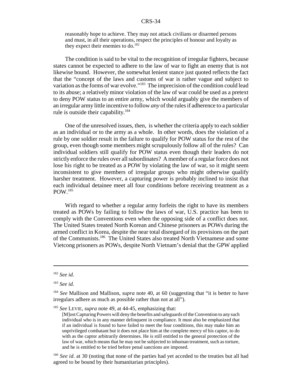reasonably hope to achieve. They may not attack civilians or disarmed persons and must, in all their operations, respect the principles of honour and loyalty as they expect their enemies to do.<sup>182</sup>

The condition is said to be vital to the recognition of irregular fighters, because states cannot be expected to adhere to the law of war to fight an enemy that is not likewise bound. However, the somewhat lenient stance just quoted reflects the fact that the "concept of the laws and customs of war is rather vague and subject to variation as the forms of war evolve."183 The imprecision of the condition could lead to its abuse; a relatively minor violation of the law of war could be used as a pretext to deny POW status to an entire army, which would arguably give the members of an irregular army little incentive to follow *any* of the rules if adherence to a particular rule is outside their capability.<sup>184</sup>

One of the unresolved issues, then, is whether the criteria apply to each soldier as an individual or to the army as a whole. In other words, does the violation of a rule by one soldier result in the failure to qualify for POW status for the rest of the group, even though some members might scrupulously follow all of the rules? Can individual soldiers still qualify for POW status even though their leaders do not strictly enforce the rules over all subordinates? A member of a regular force does not lose his right to be treated as a POW by violating the law of war, so it might seem inconsistent to give members of irregular groups who might otherwise qualify harsher treatment. However, a capturing power is probably inclined to insist that each individual detainee meet all four conditions before receiving treatment as a POW.185

With regard to whether a regular army forfeits the right to have its members treated as POWs by failing to follow the laws of war, U.S. practice has been to comply with the Conventions even when the opposing side of a conflict does not. The United States treated North Korean and Chinese prisoners as POWs during the armed conflict in Korea, despite the near total disregard of its provisions on the part of the Communists.186 The United States also treated North Vietnamese and some Vietcong prisoners as POWs, despite North Vietnam's denial that the GPW applied

<sup>182</sup> *See id.*

<sup>183</sup> *See id.*

<sup>184</sup> *See* Mallison and Mallison, *supra* note 40, at 60 (suggesting that "it is better to have irregulars adhere as much as possible rather than not at all").

<sup>185</sup> *See* LEVIE, *supra* note 49, at 44-45, emphasizing that:

<sup>[</sup>M]ost Capturing Powers will deny the benefits and safeguards of the Convention to any such individual who is in any manner delinquent in compliance. It must also be emphasized that if an individual is found to have failed to meet the four conditions, this may make him an unprivileged combatant but it does not place him at the complete mercy of his captor, to do with as the captor arbitrarily determines. He is still entitled to the general protection of the law of war, which means that he may not be subjected to inhuman treatment, such as torture, and he is entitled to be tried before penal sanctions are imposed.

<sup>&</sup>lt;sup>186</sup> See id. at 30 (noting that none of the parties had yet acceded to the treaties but all had agreed to be bound by their humanitarian principles).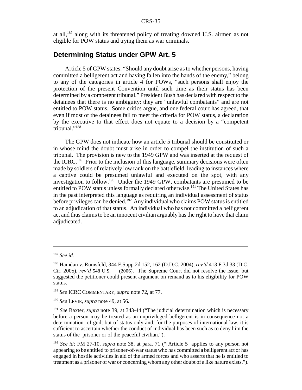at all,187 along with its threatened policy of treating downed U.S. airmen as not eligible for POW status and trying them as war criminals.

## **Determining Status under GPW Art. 5**

Article 5 of GPW states: "Should any doubt arise as to whether persons, having committed a belligerent act and having fallen into the hands of the enemy," belong to any of the categories in article 4 for POWs, "such persons shall enjoy the protection of the present Convention until such time as their status has been determined by a competent tribunal." President Bush has declared with respect to the detainees that there is no ambiguity: they are "unlawful combatants" and are not entitled to POW status. Some critics argue, and one federal court has agreed, that even if most of the detainees fail to meet the criteria for POW status, a declaration by the executive to that effect does not equate to a decision by a "competent tribunal."188

The GPW does not indicate how an article 5 tribunal should be constituted or in whose mind the doubt must arise in order to compel the institution of such a tribunal. The provision is new to the 1949 GPW and was inserted at the request of the ICRC.189 Prior to the inclusion of this language, summary decisions were often made by soldiers of relatively low rank on the battlefield, leading to instances where a captive could be presumed unlawful and executed on the spot, with any investigation to follow.190 Under the 1949 GPW, combatants are presumed to be entitled to POW status unless formally declared otherwise.<sup>191</sup> The United States has in the past interpreted this language as requiring an individual assessment of status before privileges can be denied.<sup>192</sup> Any individual who claims POW status is entitled to an adjudication of that status. An individual who has not committed a belligerent act and thus claims to be an innocent civilian arguably has the right to have that claim adjudicated.

<sup>187</sup> *See id.*

<sup>188</sup> Hamdan v. Rumsfeld, 344 F.Supp.2d 152, 162 (D.D.C. 2004), *rev'd* 413 F.3d 33 (D.C. Cir. 2005), *rev'd* 548 U.S. \_\_ (2006). The Supreme Court did not resolve the issue, but suggested the petitioner could present argument on remand as to his eligibility for POW status.

<sup>189</sup> *See* ICRC COMMENTARY, *supra* note 72, at 77.

<sup>190</sup> *See* LEVIE, *supra* note 49, at 56.

<sup>191</sup> *See* Baxter, *supra* note 39, at 343-44 ("The judicial determination which is necessary before a person may be treated as an unprivileged belligerent is in consequence not a determination of guilt but of status only and, for the purposes of international law, it is sufficient to ascertain whether the conduct of individual has been such as to deny him the status of the prisoner or of the peaceful civilian.").

<sup>192</sup> *See id;* FM 27-10, *supra* note 38, at para. 71 ("[Article 5] applies to any person not appearing to be entitled to prisoner-of-war status who has committed a belligerent act or has engaged in hostile activities in aid of the armed forces and who asserts that he is entitled to treatment as a prisoner of war or concerning whom any other doubt of a like nature exists.").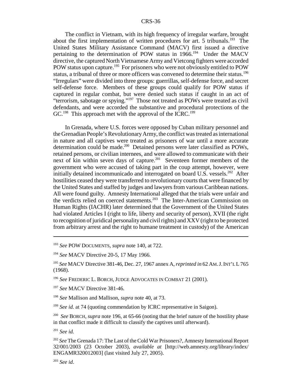The conflict in Vietnam, with its high frequency of irregular warfare, brought about the first implementation of written procedures for art. 5 tribunals.<sup>193</sup> The United States Military Assistance Command (MACV) first issued a directive pertaining to the determination of POW status in  $1966$ <sup>194</sup> Under the MACV directive, the captured North Vietnamese Army and Vietcong fighters were accorded POW status upon capture.<sup>195</sup> For prisoners who were not obviously entitled to POW status, a tribunal of three or more officers was convened to determine their status.<sup>196</sup> "Irregulars" were divided into three groups: guerrillas, self-defense force, and secret self-defense force. Members of these groups could qualify for POW status if captured in regular combat, but were denied such status if caught in an act of "terrorism, sabotage or spying."<sup>197</sup> Those not treated as POWs were treated as civil defendants, and were accorded the substantive and procedural protections of the  $GC<sup>198</sup>$  This approach met with the approval of the ICRC.<sup>199</sup>

In Grenada, where U.S. forces were opposed by Cuban military personnel and the Grenadian People's Revolutionary Army, the conflict was treated as international in nature and all captives were treated as prisoners of war until a more accurate determination could be made.<sup>200</sup> Detained persons were later classified as POWs, retained persons, or civilian internees, and were allowed to communicate with their next of kin within seven days of capture.<sup>201</sup> Seventeen former members of the government who were accused of taking part in the coup attempt, however, were initially detained incommunicado and interrogated on board U.S. vessels.<sup>202</sup> After hostilities ceased they were transferred to revolutionary courts that were financed by the United States and staffed by judges and lawyers from various Caribbean nations. All were found guilty. Amnesty International alleged that the trials were unfair and the verdicts relied on coerced statements.203 The Inter-American Commission on Human Rights (IACHR) later determined that the Government of the United States had violated Articles I (right to life, liberty and security of person), XVII (the right to recognition of juridical personality and civil rights) and XXV (right to be protected from arbitrary arrest and the right to humane treatment in custody) of the American

<sup>193</sup> *See* POW DOCUMENTS, *supra* note 140, at 722.

<sup>194</sup> *See* MACV Directive 20-5, 17 May 1966.

<sup>195</sup> *See* MACV Directive 381-46, Dec. 27, 1967 annex A, *reprinted in* 62 AM.J.INT'L L 765 (1968).

<sup>196</sup> *See* FREDERIC L. BORCH, JUDGE ADVOCATES IN COMBAT 21 (2001).

<sup>197</sup> *See* MACV Directive 381-46*.*

<sup>198</sup> *See* Mallison and Mallison, *supra* note 40, at 73.

<sup>&</sup>lt;sup>199</sup> *See id.* at 74 (quoting commendation by ICRC representative in Saigon).

<sup>200</sup> *See* BORCH, *supra* note 196, at 65-66 (noting that the brief nature of the hostility phase in that conflict made it difficult to classify the captives until afterward).

<sup>201</sup> *See id.*

<sup>202</sup> *See* The Grenada 17: The Last of the Cold War Prisoners?, Amnesty International Report 32/001/2003 (23 October 2003), *available at* [http://web.amnesty.org/library/index/ ENGAMR320012003] (last visited July 27, 2005).

<sup>203</sup> *See id*.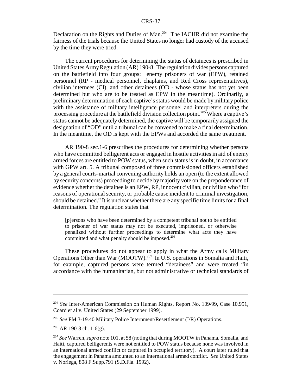Declaration on the Rights and Duties of Man.<sup>204</sup> The IACHR did not examine the fairness of the trials because the United States no longer had custody of the accused by the time they were tried.

The current procedures for determining the status of detainees is prescribed in United States Army Regulation (AR) 190-8. The regulation divides persons captured on the battlefield into four groups: enemy prisoners of war (EPW), retained personnel (RP - medical personnel, chaplains, and Red Cross representatives), civilian internees (CI), and other detainees (OD - whose status has not yet been determined but who are to be treated as EPW in the meantime). Ordinarily, a preliminary determination of each captive's status would be made by military police with the assistance of military intelligence personnel and interpreters during the processing procedure at the battlefield division collection point.<sup>205</sup> Where a captive's status cannot be adequately determined, the captive will be temporarily assigned the designation of "OD" until a tribunal can be convened to make a final determination. In the meantime, the OD is kept with the EPWs and accorded the same treatment.

AR 190-8 sec.1-6 prescribes the procedures for determining whether persons who have committed belligerent acts or engaged in hostile activities in aid of enemy armed forces are entitled to POW status, when such status is in doubt, in accordance with GPW art. 5. A tribunal composed of three commissioned officers established by a general courts-martial convening authority holds an open (to the extent allowed by security concerns) proceeding to decide by majority vote on the preponderance of evidence whether the detainee is an EPW, RP, innocent civilian, or civilian who "for reasons of operational security, or probable cause incident to criminal investigation, should be detained." It is unclear whether there are any specific time limits for a final determination. The regulation states that

[p]ersons who have been determined by a competent tribunal not to be entitled to prisoner of war status may not be executed, imprisoned, or otherwise penalized without further proceedings to determine what acts they have committed and what penalty should be imposed.<sup>206</sup>

These procedures do not appear to apply in what the Army calls Military Operations Other than War (MOOTW).207 In U.S. operations in Somalia and Haiti, for example, captured persons were termed "detainees" and were treated "in accordance with the humanitarian, but not administrative or technical standards of

<sup>204</sup> *See* Inter-American Commission on Human Rights, Report No. 109/99, Case 10.951, Coard et al v. United States (29 September 1999).

<sup>205</sup> *See* FM 3-19.40 Military Police Internment/Resettlement (I/R) Operations.

 $206$  AR 190-8 ch. 1-6(g).

<sup>207</sup> *See* Warren, *supra* note 101, at 58 (noting that during MOOTW in Panama, Somalia, and Haiti, captured belligerents were not entitled to POW status because none was involved in an international armed conflict or captured in occupied territory). A court later ruled that the engagement in Panama amounted to an international armed conflict. *See* United States v. Noriega, 808 F.Supp.791 (S.D.Fla. 1992).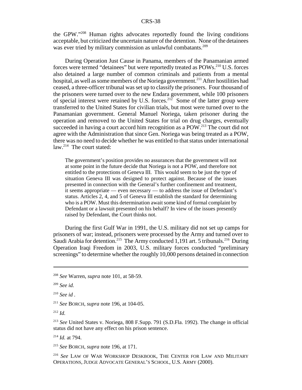the GPW."208 Human rights advocates reportedly found the living conditions acceptable, but criticized the uncertain nature of the detention. None of the detainees was ever tried by military commission as unlawful combatants.<sup>209</sup>

During Operation Just Cause in Panama, members of the Panamanian armed forces were termed "detainees" but were reportedly treated as POWs.210 U.S. forces also detained a large number of common criminals and patients from a mental hospital, as well as some members of the Noriega government.<sup>211</sup> After hostilities had ceased, a three-officer tribunal was set up to classify the prisoners. Four thousand of the prisoners were turned over to the new Endara government, while 100 prisoners of special interest were retained by U.S. forces.<sup>212</sup> Some of the latter group were transferred to the United States for civilian trials, but most were turned over to the Panamanian government. General Manuel Noriega, taken prisoner during the operation and removed to the United States for trial on drug charges, eventually succeeded in having a court accord him recognition as a POW.<sup>213</sup> The court did not agree with the Administration that since Gen. Noriega was being treated as a POW, there was no need to decide whether he was entitled to that status under international law.<sup>214</sup> The court stated:

The government's position provides no assurances that the government will not at some point in the future decide that Noriega is not a POW, and therefore not entitled to the protections of Geneva III. This would seem to be just the type of situation Geneva III was designed to protect against. Because of the issues presented in connection with the General's further confinement and treatment, it seems appropriate — even necessary — to address the issue of Defendant's status. Articles 2, 4, and 5 of Geneva III establish the standard for determining who is a POW. Must this determination await some kind of formal complaint by Defendant or a lawsuit presented on his behalf? In view of the issues presently raised by Defendant, the Court thinks not.

During the first Gulf War in 1991, the U.S. military did not set up camps for prisoners of war; instead, prisoners were processed by the Army and turned over to Saudi Arabia for detention.<sup>215</sup> The Army conducted 1,191 art. 5 tribunals.<sup>216</sup> During Operation Iraqi Freedom in 2003, U.S. military forces conducted "preliminary screenings" to determine whether the roughly 10,000 persons detained in connection

<sup>214</sup> *Id.* at 794.

<sup>215</sup> *See* BORCH, *supra* note 196, at 171.

<sup>216</sup> *See* LAW OF WAR WORKSHOP DESKBOOK, THE CENTER FOR LAW AND MILITARY OPERATIONS, JUDGE ADVOCATE GENERAL'S SCHOOL, U.S. ARMY (2000).

<sup>208</sup> *See* Warren, *supra* note 101, at 58-59.

<sup>209</sup> *See id.*

<sup>210</sup> *See id .*

<sup>211</sup> *See* BORCH, *supra* note 196, at 104-05.

<sup>212</sup> *Id.*

<sup>213</sup> *See* United States v. Noriega, 808 F.Supp. 791 (S.D.Fla. 1992). The change in official status did not have any effect on his prison sentence.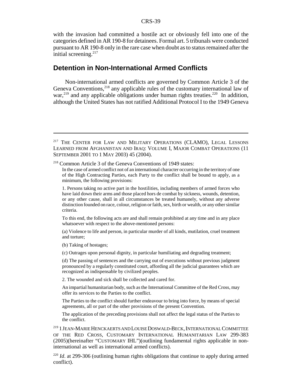with the invasion had committed a hostile act or obviously fell into one of the categories defined in AR 190-8 for detainees. Formal art. 5 tribunals were conducted pursuant to AR 190-8 only in the rare case when doubt as to status remained after the initial screening.<sup>217</sup>

## **Detention in Non-International Armed Conflicts**

Non-international armed conflicts are governed by Common Article 3 of the Geneva Conventions,<sup>218</sup> any applicable rules of the customary international law of war,<sup>219</sup> and any applicable obligations under human rights treaties.<sup>220</sup> In addition, although the United States has not ratified Additional Protocol I to the 1949 Geneva

218 Common Article 3 of the Geneva Conventions of 1949 states:

To this end, the following acts are and shall remain prohibited at any time and in any place whatsoever with respect to the above-mentioned persons:

(a) Violence to life and person, in particular murder of all kinds, mutilation, cruel treatment and torture;

(b) Taking of hostages;

(c) Outrages upon personal dignity, in particular humiliating and degrading treatment;

(d) The passing of sentences and the carrying out of executions without previous judgment pronounced by a regularly constituted court, affording all the judicial guarantees which are recognized as indispensable by civilized peoples.

2. The wounded and sick shall be collected and cared for.

An impartial humanitarian body, such as the International Committee of the Red Cross, may offer its services to the Parties to the conflict.

The Parties to the conflict should further endeavour to bring into force, by means of special agreements, all or part of the other provisions of the present Convention.

The application of the preceding provisions shall not affect the legal status of the Parties to the conflict.

<sup>219</sup> 1 JEAN-MARIE HENCKAERTS AND LOUISE DOSWALD-BECK, INTERNATIONAL COMMITTEE OF THE RED CROSS, CUSTOMARY INTERNATIONAL HUMANITARIAN LAW 299-383 (2005)(hereinafter "CUSTOMARY IHL")(outlining fundamental rights applicable in noninternational as well as international armed conflicts).

<sup>220</sup> *Id.* at 299-306 (outlining human rights obligations that continue to apply during armed conflict).

<sup>&</sup>lt;sup>217</sup> THE CENTER FOR LAW AND MILITARY OPERATIONS (CLAMO), LEGAL LESSONS LEARNED FROM AFGHANISTAN AND IRAQ: VOLUME I, MAJOR COMBAT OPERATIONS (11 SEPTEMBER 2001 TO 1 MAY 2003) 45 (2004).

In the case of armed conflict not of an international character occurring in the territory of one of the High Contracting Parties, each Party to the conflict shall be bound to apply, as a minimum, the following provisions:

<sup>1.</sup> Persons taking no active part in the hostilities, including members of armed forces who have laid down their arms and those placed hors de combat by sickness, wounds, detention, or any other cause, shall in all circumstances be treated humanely, without any adverse distinction founded on race, colour, religion or faith, sex, birth or wealth, or any other similar criteria.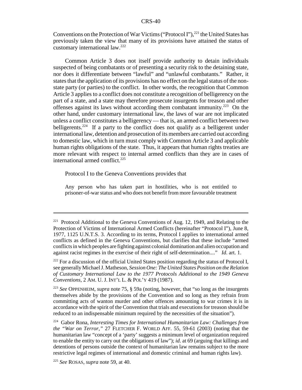Conventions on the Protection of War Victims ("Protocol I"),  $^{221}$  the United States has previously taken the view that many of its provisions have attained the status of customary international law.222

Common Article 3 does not itself provide authority to detain individuals suspected of being combatants or of presenting a security risk to the detaining state, nor does it differentiate between "lawful" and "unlawful combatants." Rather, it states that the application of its provisions has no effect on the legal status of the nonstate party (or parties) to the conflict. In other words, the recognition that Common Article 3 applies to a conflict does not constitute a recognition of belligerency on the part of a state, and a state may therefore prosecute insurgents for treason and other offenses against its laws without according them combatant immunity.223 On the other hand, under customary international law, the laws of war are not implicated unless a conflict constitutes a belligerency — that is, an armed conflict between two belligerents.<sup>224</sup> If a party to the conflict does not qualify as a belligerent under international law, detention and prosecution of its members are carried out according to domestic law, which in turn must comply with Common Article 3 and applicable human rights obligations of the state. Thus, it appears that human rights treaties are more relevant with respect to internal armed conflicts than they are in cases of international armed conflict. $225$ 

Protocol I to the Geneva Conventions provides that

Any person who has taken part in hostilities, who is not entitled to prisoner-of-war status and who does not benefit from more favourable treatment

<sup>&</sup>lt;sup>221</sup> Protocol Additional to the Geneva Conventions of Aug. 12, 1949, and Relating to the Protection of Victims of International Armed Conflicts (hereinafter "Protocol I"), June 8, 1977, 1125 U.N.T.S. 3. According to its terms, Protocol I applies to international armed conflicts as defined in the Geneva Conventions, but clarifies that these include "armed conflicts in which peoples are fighting against colonial domination and alien occupation and against racist regimes in the exercise of their right of self-determination...." *Id*. art. 1.

 $222$  For a discussion of the official United States position regarding the status of Protocol I, see generally Michael J. Matheson, *Session One: The United States Position on the Relation of Customary International Law to the 1977 Protocols Additional to the 1949 Geneva Conventions*, 2 AM. U. J. INT'L L. & POL'Y 419 (1987).

<sup>223</sup> *See* OPPENHEIM, *supra* note 75, § 59a (noting, however, that "so long as the insurgents themselves abide by the provisions of the Convention and so long as they refrain from committing acts of wanton murder and other offences amounting to war crimes it is in accordance with the spirit of the Convention that trials and executions for treason should be reduced to an indispensable minimum required by the necessities of the situation").

<sup>224</sup> Gabor Rona, *Interesting Times for International Humanitarian Law: Challenges from the "War on Terror,"* 27 FLETCHER F. WORLD AFF. 55, 59-61 (2003) (noting that the humanitarian law "concept of a 'party' suggests a minimum level of organization required to enable the entity to carry out the obligations of law"); *id*. at 69 (arguing that killings and detentions of persons outside the context of humanitarian law remains subject to the more restrictive legal regimes of international and domestic criminal and human rights law).

<sup>225</sup> *See* ROSAS, *supra* note 59, at 40.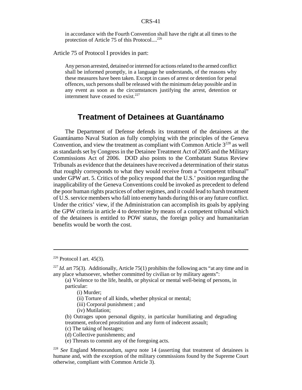in accordance with the Fourth Convention shall have the right at all times to the protection of Article 75 of this Protocol....<sup>226</sup>

Article 75 of Protocol I provides in part:

Any person arrested, detained or interned for actions related to the armed conflict shall be informed promptly, in a language he understands, of the reasons why these measures have been taken. Except in cases of arrest or detention for penal offences, such persons shall be released with the minimum delay possible and in any event as soon as the circumstances justifying the arrest, detention or internment have ceased to exist. $227$ 

## **Treatment of Detainees at Guantánamo**

The Department of Defense defends its treatment of the detainees at the Guantánamo Naval Station as fully complying with the principles of the Geneva Convention, and view the treatment as compliant with Common Article  $3^{228}$  as well as standards set by Congress in the Detainee Treatment Act of 2005 and the Military Commissions Act of 2006. DOD also points to the Combatant Status Review Tribunals as evidence that the detainees have received a determination of their status that roughly corresponds to what they would receive from a "competent tribunal" under GPW art. 5. Critics of the policy respond that the U.S.' position regarding the inapplicability of the Geneva Conventions could be invoked as precedent to defend the poor human rights practices of other regimes, and it could lead to harsh treatment of U.S. service members who fall into enemy hands during this or any future conflict. Under the critics' view, if the Administration can accomplish its goals by applying the GPW criteria in article 4 to determine by means of a competent tribunal which of the detainees is entitled to POW status, the foreign policy and humanitarian benefits would be worth the cost.

- (ii) Torture of all kinds, whether physical or mental;
- (iii) Corporal punishment ; and
- (iv) Mutilation;
- (b) Outrages upon personal dignity, in particular humiliating and degrading treatment, enforced prostitution and any form of indecent assault;
- (c) The taking of hostages;
- (d) Collective punishments; and
- (e) Threats to commit any of the foregoing acts.

<sup>228</sup> *See* England Memorandum, *supra* note 14 (asserting that treatment of detainees is humane and, with the exception of the military commissions found by the Supreme Court otherwise, compliant with Common Article 3).

 $226$  Protocol I art. 45(3).

<sup>&</sup>lt;sup>227</sup> *Id.* art 75(3). Additionally, Article 75(1) prohibits the following acts "at any time and in any place whatsoever, whether committed by civilian or by military agents":

<sup>(</sup>a) Violence to the life, health, or physical or mental well-being of persons, in particular:

<sup>(</sup>i) Murder;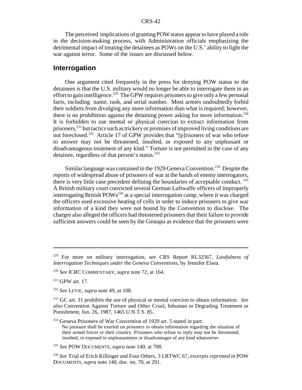The perceived implications of granting POW status appear to have played a role in the decision-making process, with Administration officials emphasizing the detrimental impact of treating the detainees as POWs on the U.S.' ability to fight the war against terror. Some of the issues are discussed below.

## **Interrogation**

One argument cited frequently in the press for denying POW status to the detainees is that the U.S. military would no longer be able to interrogate them in an effort to gain intelligence.<sup>229</sup> The GPW requires prisoners to give only a few personal facts, including name, rank, and serial number. Most armies undoubtedly forbid their soldiers from divulging any more information than what is required; however, there is no prohibition against the detaining power asking for more information.<sup>230</sup> It is forbidden to use mental or physical coercion to extract information from prisoners,231 but tactics such as trickery or promises of improved living conditions are not foreclosed.<sup>232</sup> Article 17 of GPW provides that "[p]risoners of war who refuse to answer may not be threatened, insulted, or exposed to any unpleasant or disadvantageous treatment of any kind." Torture is not permitted in the case of any detainee, regardless of that person's status.<sup>233</sup>

Similar language was contained in the 1929 Geneva Convention.<sup>234</sup> Despite the reports of widespread abuse of prisoners of war at the hands of enemy interrogators, there is very little case precedent defining the boundaries of acceptable conduct. <sup>235</sup> A British military court convicted several German Luftwaffe officers of improperly interrogating British POWs<sup>236</sup> at a special interrogation camp, where it was charged the officers used excessive heating of cells in order to induce prisoners to give war information of a kind they were not bound by the Convention to disclose. The charges also alleged the officers had threatened prisoners that their failure to provide sufficient answers could be seen by the Gestapo as evidence that the prisoners were

<sup>229</sup> For more on military interrogation, see CRS Report RL32567, *Lawfulness of Interrogation Techniques under the Geneva Conventions*, by Jennifer Elsea.

<sup>230</sup> *See* ICRC COMMENTARY, *supra* note 72, at 164.

 $231$  GPW art. 17.

<sup>232</sup> *See* LEVIE, *supra* note 49, at 108.

<sup>233</sup> GC art. 31 prohibits the use of physical or mental coercion to obtain information. *See also* Convention Against Torture and Other Cruel, Inhuman or Degrading Treatment or Punishment, Jun. 26, 1987, 1465 U.N.T.S. 85.

<sup>&</sup>lt;sup>234</sup> Geneva Prisoners of War Convention of 1929 art. 5 stated in part: No pressure shall be exerted on prisoners to obtain information regarding the situation of their armed forces or their country. Prisoners who refuse to reply may not be threatened, insulted, or exposed to unpleasantness or disadvantages of any kind whatsoever.

<sup>235</sup> *See* POW DOCUMENTS, *supra* note 140, at 708.

<sup>236</sup> *See* Trial of Erich Killinger and Four Others, 3 LRTWC 67, *excerpts reprinted in* POW DOCUMENTS, *supra* note 140, doc. no. 70, at 291.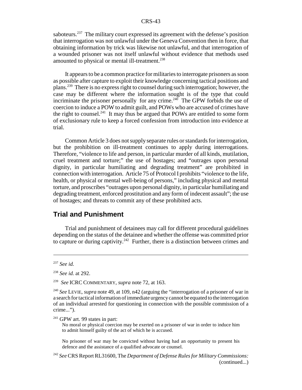saboteurs.<sup>237</sup> The military court expressed its agreement with the defense's position that interrogation was not unlawful under the Geneva Convention then in force, that obtaining information by trick was likewise not unlawful, and that interrogation of a wounded prisoner was not itself unlawful without evidence that methods used amounted to physical or mental ill-treatment.<sup>238</sup>

It appears to be a common practice for militaries to interrogate prisoners as soon as possible after capture to exploit their knowledge concerning tactical positions and plans.239 There is no express right to counsel during such interrogation; however, the case may be different where the information sought is of the type that could incriminate the prisoner personally for any crime.<sup>240</sup> The GPW forbids the use of coercion to induce a POW to admit guilt, and POWs who are accused of crimes have the right to counsel.<sup>241</sup> It may thus be argued that POWs are entitled to some form of exclusionary rule to keep a forced confession from introduction into evidence at trial.

Common Article 3 does not supply separate rules or standards for interrogation, but the prohibition on ill-treatment continues to apply during interrogations. Therefore, "violence to life and person, in particular murder of all kinds, mutilation, cruel treatment and torture;" the use of hostages; and "outrages upon personal dignity, in particular humiliating and degrading treatment" are prohibited in connection with interrogation. Article 75 of Protocol I prohibits "violence to the life, health, or physical or mental well-being of persons," including physical and mental torture, and proscribes "outrages upon personal dignity, in particular humiliating and degrading treatment, enforced prostitution and any form of indecent assault"; the use of hostages; and threats to commit any of these prohibited acts.

## **Trial and Punishment**

Trial and punishment of detainees may call for different procedural guidelines depending on the status of the detainee and whether the offense was committed prior to capture or during captivity.<sup>242</sup> Further, there is a distinction between crimes and

241 GPW art. 99 states in part:

No moral or physical coercion may be exerted on a prisoner of war in order to induce him to admit himself guilty of the act of which he is accused.

No prisoner of war may be convicted without having had an opportunity to present his defence and the assistance of a qualified advocate or counsel.

<sup>237</sup> *See id.*

<sup>238</sup> *See id.* at 292.

<sup>239</sup> *See* ICRC COMMENTARY, *supra* note 72, at 163.

<sup>240</sup> *See* LEVIE, *supra* note 49, at 109, n42 (arguing the "interrogation of a prisoner of war in a search for tactical information of immediate urgency cannot be equated to the interrogation of an individual arrested for questioning in connection with the possible commission of a crime...").

<sup>242</sup> *See* CRS Report RL31600, The *Department of Defense Rules for Military Commissions:* (continued...)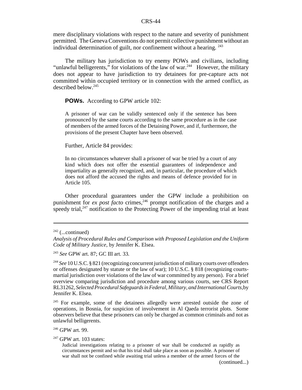mere disciplinary violations with respect to the nature and severity of punishment permitted. The Geneva Conventions do not permit collective punishment without an individual determination of guilt, nor confinement without a hearing.  $243$ 

The military has jurisdiction to try enemy POWs and civilians, including "unlawful belligerents," for violations of the law of war.<sup>244</sup> However, the military does not appear to have jurisdiction to try detainees for pre-capture acts not committed within occupied territory or in connection with the armed conflict, as described below.245

#### **POWs.** According to GPW article 102:

A prisoner of war can be validly sentenced only if the sentence has been pronounced by the same courts according to the same procedure as in the case of members of the armed forces of the Detaining Power, and if, furthermore, the provisions of the present Chapter have been observed.

#### Further, Article 84 provides:

In no circumstances whatever shall a prisoner of war be tried by a court of any kind which does not offer the essential guarantees of independence and impartiality as generally recognized, and, in particular, the procedure of which does not afford the accused the rights and means of defence provided for in Article 105.

Other procedural guarantees under the GPW include a prohibition on punishment for *ex post facto* crimes,<sup>246</sup> prompt notification of the charges and a speedy trial, $247$  notification to the Protecting Power of the impending trial at least

 $242$  (...continued)

*Analysis of Procedural Rules and Comparison with Proposed Legislation and the Uniform Code of Military Justice*, by Jennifer K. Elsea.

<sup>243</sup> *See* GPW art. 87; GC III art. 33*.*

<sup>244</sup> *See* 10 U.S.C. § 821 (recognizing concurrent jurisdiction of military courts over offenders or offenses designated by statute or the law of war); 10 U.S.C. § 818 (recognizing courtsmartial jurisdiction over violations of the law of war committed by any person). For a brief overview comparing jurisdiction and procedure among various courts, see CRS Report RL31262, *Selected Procedural Safeguards in Federal, Military, and International Courts*,by Jennifer K. Elsea.

<sup>&</sup>lt;sup>245</sup> For example, some of the detainees allegedly were arrested outside the zone of operations, in Bosnia, for suspicion of involvement in Al Qaeda terrorist plots. Some observers believe that these prisoners can only be charged as common criminals and not as unlawful belligerents.

<sup>246</sup> GPW art. 99.

 $247$  GPW art. 103 states:

Judicial investigations relating to a prisoner of war shall be conducted as rapidly as circumstances permit and so that his trial shall take place as soon as possible. A prisoner of war shall not be confined while awaiting trial unless a member of the armed forces of the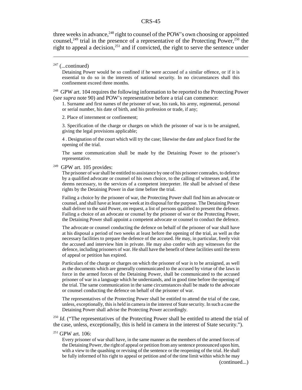three weeks in advance,  $248$  right to counsel of the POW's own choosing or appointed counsel,<sup>249</sup> trial in the presence of a representative of the Protecting Power,<sup>250</sup> the right to appeal a decision,<sup>251</sup> and if convicted, the right to serve the sentence under

Detaining Power would be so confined if he were accused of a similar offence, or if it is essential to do so in the interests of national security. In no circumstances shall this confinement exceed three months.

<sup>248</sup> GPW art. 104 requires the following information to be reported to the Protecting Power (*see supra* note 90) and POW's representative before a trial can commence:

1. Surname and first names of the prisoner of war, his rank, his army, regimental, personal or serial number, his date of birth, and his profession or trade, if any;

2. Place of internment or confinement;

3. Specification of the charge or charges on which the prisoner of war is to be arraigned, giving the legal provisions applicable;

4 . Designation of the court which will try the case; likewise the date and place fixed for the opening of the trial.

The same communication shall be made by the Detaining Power to the prisoner's representative.

 $249$  GPW art. 105 provides:

The prisoner of war shall be entitled to assistance by one of his prisoner comrades, to defence by a qualified advocate or counsel of his own choice, to the calling of witnesses and, if he deems necessary, to the services of a competent interpreter. He shall be advised of these rights by the Detaining Power in due time before the trial.

Failing a choice by the prisoner of war, the Protecting Power shall find him an advocate or counsel, and shall have at least one week at its disposal for the purpose. The Detaining Power shall deliver to the said Power, on request, a list of persons qualified to present the defence. Failing a choice of an advocate or counsel by the prisoner of war or the Protecting Power, the Detaining Power shall appoint a competent advocate or counsel to conduct the defence.

The advocate or counsel conducting the defence on behalf of the prisoner of war shall have at his disposal a period of two weeks at least before the opening of the trial, as well as the necessary facilities to prepare the defence of the accused. He may, in particular, freely visit the accused and interview him in private. He may also confer with any witnesses for the defence, including prisoners of war. He shall have the benefit of these facilities until the term of appeal or petition has expired.

Particulars of the charge or charges on which the prisoner of war is to be arraigned, as well as the documents which are generally communicated to the accused by virtue of the laws in force in the armed forces of the Detaining Power, shall be communicated to the accused prisoner of war in a language which he understands, and in good time before the opening of the trial. The same communication in the same circumstances shall be made to the advocate or counsel conducting the defence on behalf of the prisoner of war.

The representatives of the Protecting Power shall be entitled to attend the trial of the case, unless, exceptionally, this is held in camera in the interest of State security. In such a case the Detaining Power shall advise the Protecting Power accordingly.

<sup>250</sup> *Id.* ("The representatives of the Protecting Power shall be entitled to attend the trial of the case, unless, exceptionally, this is held in camera in the interest of State security.").

#### 251 GPW art. 106:

Every prisoner of war shall have, in the same manner as the members of the armed forces of the Detaining Power, the right of appeal or petition from any sentence pronounced upon him, with a view to the quashing or revising of the sentence or the reopening of the trial. He shall be fully informed of his right to appeal or petition and of the time limit within which he may

(continued...)

 $247$  (...continued)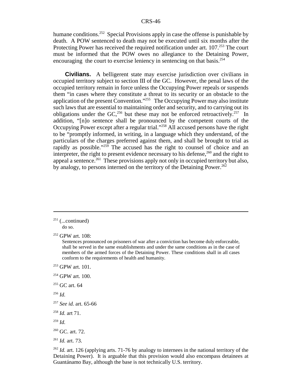humane conditions.<sup>252</sup> Special Provisions apply in case the offense is punishable by death. A POW sentenced to death may not be executed until six months after the Protecting Power has received the required notification under art. 107<sup>253</sup> The court must be informed that the POW owes no allegiance to the Detaining Power, encouraging the court to exercise leniency in sentencing on that basis.<sup>254</sup>

**Civilians.** A belligerent state may exercise jurisdiction over civilians in occupied territory subject to section III of the GC. However, the penal laws of the occupied territory remain in force unless the Occupying Power repeals or suspends them "in cases where they constitute a threat to its security or an obstacle to the application of the present Convention."255 The Occupying Power may also institute such laws that are essential to maintaining order and security, and to carrying out its obligations under the GC,<sup>256</sup> but these may not be enforced retroactively.<sup>257</sup> In addition, "[n]o sentence shall be pronounced by the competent courts of the Occupying Power except after a regular trial."258 All accused persons have the right to be "promptly informed, in writing, in a language which they understand, of the particulars of the charges preferred against them, and shall be brought to trial as rapidly as possible."259 The accused has the right to counsel of choice and an interpreter, the right to present evidence necessary to his defense,<sup>260</sup> and the right to appeal a sentence.<sup>261</sup> These provisions apply not only in occupied territory but also, by analogy, to persons interned on the territory of the Detaining Power.<sup>262</sup>

252 GPW art. 108:

<sup>253</sup> GPW art. 101.

- $254$  GPW art. 100.
- $255$  GC art. 64

<sup>256</sup> *Id.*

<sup>259</sup> *Id.*

<sup>262</sup> *Id.* art. 126 (applying arts. 71-76 by analogy to internees in the national territory of the Detaining Power). It is arguable that this provision would also encompass detainees at Guantánamo Bay, although the base is not technically U.S. territory.

 $251$  (...continued) do so.

Sentences pronounced on prisoners of war after a conviction has become duly enforceable, shall be served in the same establishments and under the same conditions as in the case of members of the armed forces of the Detaining Power. These conditions shall in all cases conform to the requirements of health and humanity.

<sup>257</sup> *See id.* art. 65-66

<sup>258</sup> *Id.* art 71.

<sup>&</sup>lt;sup>260</sup> GC. art. 72.

<sup>261</sup> *Id.* art. 73.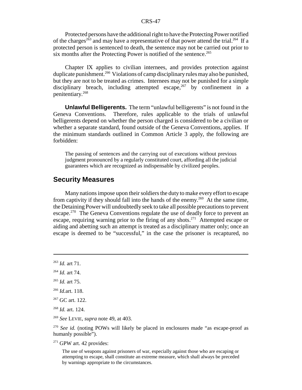Protected persons have the additional right to have the Protecting Power notified of the charges<sup>263</sup> and may have a representative of that power attend the trial.<sup>264</sup> If a protected person is sentenced to death, the sentence may not be carried out prior to six months after the Protecting Power is notified of the sentence.<sup>265</sup>

Chapter IX applies to civilian internees, and provides protection against duplicate punishment.<sup>266</sup> Violations of camp disciplinary rules may also be punished, but they are not to be treated as crimes. Internees may not be punished for a simple disciplinary breach, including attempted escape,  $267$  by confinement in a penitentiary.268

**Unlawful Belligerents.** The term "unlawful belligerents" is not found in the Geneva Conventions. Therefore, rules applicable to the trials of unlawful belligerents depend on whether the person charged is considered to be a civilian or whether a separate standard, found outside of the Geneva Conventions, applies. If the minimum standards outlined in Common Article 3 apply, the following are forbidden:

The passing of sentences and the carrying out of executions without previous judgment pronounced by a regularly constituted court, affording all the judicial guarantees which are recognized as indispensable by civilized peoples.

## **Security Measures**

Many nations impose upon their soldiers the duty to make every effort to escape from captivity if they should fall into the hands of the enemy.269 At the same time, the Detaining Power will undoubtedly seek to take all possible precautions to prevent escape.270 The Geneva Conventions regulate the use of deadly force to prevent an escape, requiring warning prior to the firing of any shots.<sup>271</sup> Attempted escape or aiding and abetting such an attempt is treated as a disciplinary matter only; once an escape is deemed to be "successful," in the case the prisoner is recaptured, no

- <sup>265</sup> *Id.* art 75.
- <sup>266</sup> *Id.*art. 118.
- <sup>267</sup> GC art. 122.
- <sup>268</sup> *Id.* art. 124.

<sup>263</sup> *Id.* art 71.

<sup>264</sup> *Id.* art 74.

<sup>269</sup> *See* LEVIE, *supra* note 49, at 403.

<sup>&</sup>lt;sup>270</sup> *See id.* (noting POWs will likely be placed in enclosures made "as escape-proof as humanly possible").

 $271$  GPW art. 42 provides:

The use of weapons against prisoners of war, especially against those who are escaping or attempting to escape, shall constitute an extreme measure, which shall always be preceded by warnings appropriate to the circumstances.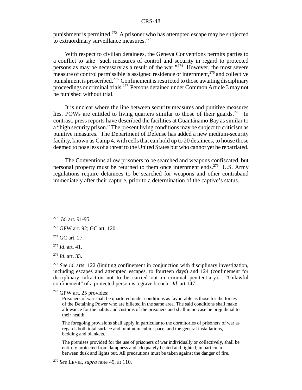punishment is permitted.<sup>272</sup> A prisoner who has attempted escape may be subjected to extraordinary surveillance measures.<sup>273</sup>

With respect to civilian detainees, the Geneva Conventions permits parties to a conflict to take "such measures of control and security in regard to protected persons as may be necessary as a result of the war."274 However, the most severe measure of control permissible is assigned residence or internment,<sup>275</sup> and collective punishment is proscribed.276 Confinement is restricted to those awaiting disciplinary proceedings or criminal trials.277 Persons detained under Common Article 3 may not be punished without trial.

It is unclear where the line between security measures and punitive measures lies. POWs are entitled to living quarters similar to those of their guards.<sup>278</sup> In contrast, press reports have described the facilities at Guantánamo Bay as similar to a "high security prison." The present living conditions may be subject to criticism as punitive measures. The Department of Defense has added a new medium-security facility, known as Camp 4, with cells that can hold up to 20 detainees, to house those deemed to pose less of a threat to the United States but who cannot yet be repatriated.

The Conventions allow prisoners to be searched and weapons confiscated, but personal property must be returned to them once internment ends.<sup>279</sup> U.S. Army regulations require detainees to be searched for weapons and other contraband immediately after their capture, prior to a determination of the captive's status.

<sup>275</sup> *Id*. art. 41.

<sup>277</sup> *See id*. arts. 122 (limiting confinement in conjunction with disciplinary investigation, including escapes and attempted escapes, to fourteen days) and 124 (confinement for disciplinary infraction not to be carried out in criminal penitentiary). "Unlawful confinement" of a protected person is a grave breach. *Id*. art 147.

278 GPW art. 25 provides:

Prisoners of war shall be quartered under conditions as favourable as those for the forces of the Detaining Power who are billeted in the same area. The said conditions shall make allowance for the habits and customs of the prisoners and shall in no case be prejudicial to their health.

The foregoing provisions shall apply in particular to the dormitories of prisoners of war as regards both total surface and minimum cubic space, and the general installations, bedding and blankets.

The premises provided for the use of prisoners of war individually or collectively, shall be entirely protected from dampness and adequately heated and lighted, in particular between dusk and lights out. All precautions must be taken against the danger of fire.

<sup>279</sup> *See* LEVIE, *supra* note 49, at 110.

<sup>272</sup> *Id*. art. 91-95.

<sup>273</sup> GPW art. 92; GC art. 120.

<sup>274</sup> GC art. 27.

<sup>276</sup> *Id*. art. 33.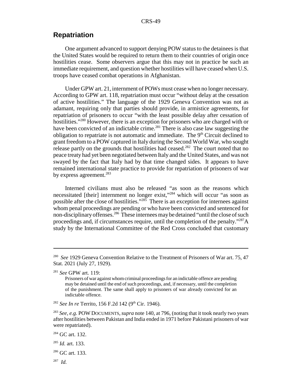## **Repatriation**

One argument advanced to support denying POW status to the detainees is that the United States would be required to return them to their countries of origin once hostilities cease. Some observers argue that this may not in practice be such an immediate requirement, and question whether hostilities will have ceased when U.S. troops have ceased combat operations in Afghanistan.

Under GPW art. 21, internment of POWs must cease when no longer necessary. According to GPW art. 118, repatriation must occur "without delay at the cessation of active hostilities." The language of the 1929 Geneva Convention was not as adamant, requiring only that parties should provide, in armistice agreements, for repatriation of prisoners to occur "with the least possible delay after cessation of hostilities."<sup>280</sup> However, there is an exception for prisoners who are charged with or have been convicted of an indictable crime.<sup>281</sup> There is also case law suggesting the obligation to repatriate is not automatic and immediate. The  $9<sup>th</sup>$  Circuit declined to grant freedom to a POW captured in Italy during the Second World War, who sought release partly on the grounds that hostilities had ceased.<sup>282</sup> The court noted that no peace treaty had yet been negotiated between Italy and the United States, and was not swayed by the fact that Italy had by that time changed sides. It appears to have remained international state practice to provide for repatriation of prisoners of war by express agreement. $^{283}$ 

Interned civilians must also be released "as soon as the reasons which necessitated [their] internment no longer exist,"284 which will occur "as soon as possible after the close of hostilities."285 There is an exception for internees against whom penal proceedings are pending or who have been convicted and sentenced for non-disciplinary offenses.286 These internees may be detained "until the close of such proceedings and, if circumstances require, until the completion of the penalty."<sup>287</sup>A study by the International Committee of the Red Cross concluded that customary

287 *Id.*

<sup>280</sup> *See* 1929 Geneva Convention Relative to the Treatment of Prisoners of War art. 75, 47 Stat. 2021 (July 27, 1929).

<sup>281</sup> *See* GPW art. 119:

Prisoners of war against whom criminal proceedings for an indictable offence are pending may be detained until the end of such proceedings, and, if necessary, until the completion of the punishment. The same shall apply to prisoners of war already convicted for an indictable offence.

<sup>&</sup>lt;sup>282</sup> *See In re* Territo, 156 F.2d 142 (9<sup>th</sup> Cir. 1946).

<sup>283</sup> *See, e.g.* POW DOCUMENTS,*supra* note 140, at 796, (noting that it took nearly two years after hostilities between Pakistan and India ended in 1971 before Pakistani prisoners of war were repatriated).

 $284$  GC art. 132.

<sup>285</sup> *Id.* art. 133.

 $286$  GC art. 133.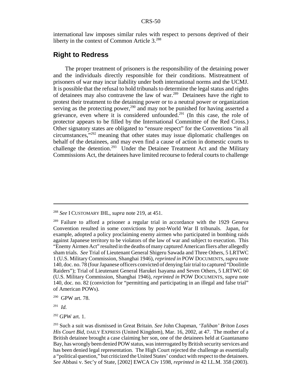international law imposes similar rules with respect to persons deprived of their liberty in the context of Common Article 3.<sup>288</sup>

## **Right to Redress**

The proper treatment of prisoners is the responsibility of the detaining power and the individuals directly responsible for their conditions. Mistreatment of prisoners of war may incur liability under both international norms and the UCMJ. It is possible that the refusal to hold tribunals to determine the legal status and rights of detainees may also contravene the law of war.289 Detainees have the right to protest their treatment to the detaining power or to a neutral power or organization serving as the protecting power,<sup>290</sup> and may not be punished for having asserted a grievance, even where it is considered unfounded.<sup>291</sup> (In this case, the role of protector appears to be filled by the International Committee of the Red Cross.) Other signatory states are obligated to "ensure respect" for the Conventions "in all circumstances,"292 meaning that other states may issue diplomatic challenges on behalf of the detainees, and may even find a cause of action in domestic courts to challenge the detention.<sup>293</sup> Under the Detainee Treatment Act and the Military Commissions Act, the detainees have limited recourse to federal courts to challenge

291 *Id.*

<sup>288</sup> *See* I CUSTOMARY IHL, *supra* note 219, at 451.

<sup>&</sup>lt;sup>289</sup> Failure to afford a prisoner a regular trial in accordance with the 1929 Geneva Convention resulted in some convictions by post-World War II tribunals. Japan, for example, adopted a policy proclaiming enemy airmen who participated in bombing raids against Japanese territory to be violators of the law of war and subject to execution. This "Enemy Airmen Act" resulted in the deaths of many captured American fliers after allegedly sham trials. *See* Trial of Lieutenant General Shigeru Sawada and Three Others, 5 LRTWC 1 (U.S. Military Commission, Shanghai 1946), *reprinted in* POW DOCUMENTS, *supra* note 140, doc. no. 78 (four Japanese officers convicted of denying fair trial to captured "Doolittle Raiders"); Trial of Lieutenant General Harukei Isayama and Seven Others, 5 LRTWC 60 (U.S. Military Commission, Shanghai 1946), *reprinted in* POW DOCUMENTS, *supra* note 140, doc. no. 82 (conviction for "permitting and participating in an illegal and false trial" of American POWs).

<sup>290</sup> GPW art. 78.

 $292$  GPW art. 1.

<sup>293</sup> Such a suit was dismissed in Great Britain. *See* John Chapman, *'Taliban' Briton Loses His Court Bid*, DAILY EXPRESS (United Kingdom), Mar. 16, 2002, at 47. The mother of a British detainee brought a case claiming her son, one of the detainees held at Guantanamo Bay, has wrongly been denied POW status, was interrogated by British security services and has been denied legal representation. The High Court rejected the challenge as essentially a "political question," but criticized the United States' conduct with respect to the detainees. *See* Abbasi v. Sec'y of State, [2002] EWCA Civ 1598, *reprinted in* 42 I.L.M. 358 (2003).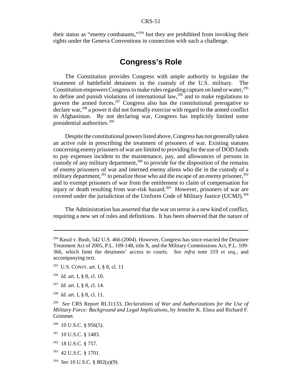their status as "enemy combatants,"294 but they are prohibited from invoking their rights under the Geneva Conventions in connection with such a challenge.

## **Congress's Role**

The Constitution provides Congress with ample authority to legislate the treatment of battlefield detainees in the custody of the U.S. military. The Constitution empowers Congress to make rules regarding capture on land or water,<sup>295</sup> to define and punish violations of international law,<sup>296</sup> and to make regulations to govern the armed forces.<sup>297</sup> Congress also has the constitutional prerogative to declare war,<sup>298</sup> a power it did not formally exercise with regard to the armed conflict in Afghanistan. By not declaring war, Congress has implicitly limited some presidential authorities.<sup>299</sup>

Despite the constitutional powers listed above, Congress has not generally taken an active rule in prescribing the treatment of prisoners of war. Existing statutes concerning enemy prisoners of war are limited to providing for the use of DOD funds to pay expenses incident to the maintenance, pay, and allowances of persons in custody of any military department,<sup>300</sup> to provide for the disposition of the remains of enemy prisoners of war and interned enemy aliens who die in the custody of a military department,<sup>301</sup> to penalize those who aid the escape of an enemy prisoner,<sup>302</sup> and to exempt prisoners of war from the entitlement to claim of compensation for injury or death resulting from war-risk hazard.<sup>303</sup> However, prisoners of war are covered under the jurisdiction of the Uniform Code of Military Justice (UCMJ).<sup>304</sup>

The Administration has asserted that the war on terror is a new kind of conflict, requiring a new set of rules and definitions. It has been observed that the nature of

298 *Id.* art. I, § 8, cl. 11.

304 *See* 10 U.S.C. § 802(a)(9).

 $294$  Rasul v. Bush, 542 U.S. 466 (2004). However, Congress has since enacted the Detainee Treatment Act of 2005, P.L. 109-148, title X, and the Military Commissions Act, P.L. 109- 366, which limit the detainees' access to courts. *See infra* note 319 *et seq.*, and accompanying text.

<sup>&</sup>lt;sup>295</sup> U.S. CONST. art. I, § 8, cl. 11

<sup>296</sup> *Id.* art. I, § 8, cl. 10.

<sup>297</sup> *Id.* art. I, § 8, cl. 14.

<sup>299</sup> *See* CRS Report RL31133, *Declarations of War and Authorizations for the Use of Military Force: Background and Legal Implications*, by Jennifer K. Elsea and Richard F. Grimmet.

 $300$  10 U.S.C. § 956(5).

<sup>301 10</sup> U.S.C. § 1483.

<sup>302 18</sup> U.S.C. § 757.

<sup>303 42</sup> U.S.C. § 1701.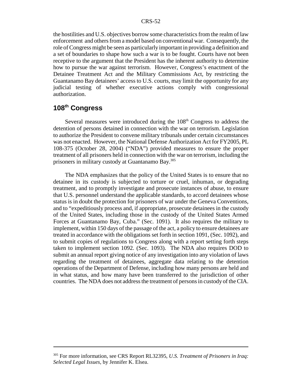the hostilities and U.S. objectives borrow some characteristics from the realm of law enforcement and others from a model based on conventional war. Consequently, the role of Congress might be seen as particularly important in providing a definition and a set of boundaries to shape how such a war is to be fought. Courts have not been receptive to the argument that the President has the inherent authority to determine how to pursue the war against terrorism. However, Congress's enactment of the Detainee Treatment Act and the Military Commissions Act, by restricting the Guantanamo Bay detainees' access to U.S. courts, may limit the opportunity for any judicial testing of whether executive actions comply with congressional authorization.

## **108th Congress**

Several measures were introduced during the 108<sup>th</sup> Congress to address the detention of persons detained in connection with the war on terrorism. Legislation to authorize the President to convene military tribunals under certain circumstances was not enacted. However, the National Defense Authorization Act for FY2005, PL 108-375 (October 28, 2004) ("NDA") provided measures to ensure the proper treatment of all prisoners held in connection with the war on terrorism, including the prisoners in military custody at Guantanamo Bay.<sup>305</sup>

The NDA emphasizes that the policy of the United States is to ensure that no detainee in its custody is subjected to torture or cruel, inhuman, or degrading treatment, and to promptly investigate and prosecute instances of abuse, to ensure that U.S. personnel understand the applicable standards, to accord detainees whose status is in doubt the protection for prisoners of war under the Geneva Conventions, and to "expeditiously process and, if appropriate, prosecute detainees in the custody of the United States, including those in the custody of the United States Armed Forces at Guantanamo Bay, Cuba." (Sec. 1091). It also requires the military to implement, within 150 days of the passage of the act, a policy to ensure detainees are treated in accordance with the obligations set forth in section 1091, (Sec. 1092), and to submit copies of regulations to Congress along with a report setting forth steps taken to implement section 1092. (Sec. 1093). The NDA also requires DOD to submit an annual report giving notice of any investigation into any violation of laws regarding the treatment of detainees, aggregate data relating to the detention operations of the Department of Defense, including how many persons are held and in what status, and how many have been transferred to the jurisdiction of other countries. The NDA does not address the treatment of persons in custody of the CIA.

<sup>305</sup> For more information, see CRS Report RL32395, *U.S. Treatment of Prisoners in Iraq: Selected Legal Issues*, by Jennifer K. Elsea.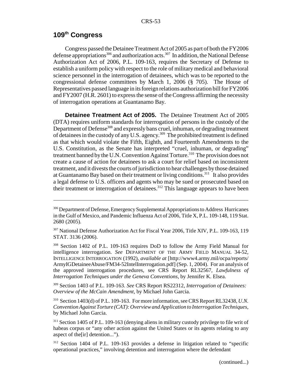## **109th Congress**

Congress passed the Detainee Treatment Act of 2005 as part of both the FY2006 defense appropriations<sup>306</sup> and authorization acts.<sup>307</sup> In addition, the National Defense Authorization Act of 2006, P.L. 109-163, requires the Secretary of Defense to establish a uniform policy with respect to the role of military medical and behavioral science personnel in the interrogation of detainees, which was to be reported to the congressional defense committees by March 1, 2006 (§ 705). The House of Representatives passed language in its foreign relations authorization bill for FY2006 and FY2007 (H.R. 2601) to express the sense of the Congress affirming the necessity of interrogation operations at Guantanamo Bay.

**Detainee Treatment Act of 2005.** The Detainee Treatment Act of 2005 (DTA) requires uniform standards for interrogation of persons in the custody of the Department of Defense<sup>308</sup> and expressly bans cruel, inhuman, or degrading treatment of detainees in the custody of any U.S. agency.309 The prohibited treatment is defined as that which would violate the Fifth, Eighth, and Fourteenth Amendments to the U.S. Constitution, as the Senate has interpreted "cruel, inhuman, or degrading" treatment banned by the U.N. Convention Against Torture.<sup>310</sup> The provision does not create a cause of action for detainees to ask a court for relief based on inconsistent treatment, and it divests the courts of jurisdiction to hear challenges by those detained at Guantanamo Bay based on their treatment or living conditions.<sup>311</sup> It also provides a legal defense to U.S. officers and agents who may be sued or prosecuted based on their treatment or interrogation of detainees.<sup>312</sup> This language appears to have been

309 Section 1403 of P.L. 109-163. *See* CRS Report RS22312, *Interrogation of Detainees: Overview of the McCain Amendment*, by Michael John Garcia.

310 Section 1403(d) of P.L. 109-163. For more information, see CRS Report RL32438, *U.N. Convention Against Torture (CAT): Overview and Application to Interrogation Techniques*, by Michael John Garcia.

<sup>311</sup> Section 1405 of P.L. 109-163 (denying aliens in military custody privilege to file writ of habeas corpus or "any other action against the United States or its agents relating to any aspect of the[ir] detention...").

312 Section 1404 of P.L. 109-163 provides a defense in litigation related to "specific operational practices," involving detention and interrogation where the defendant

(continued...)

<sup>306</sup> Department of Defense, Emergency Supplemental Appropriations to Address Hurricanes in the Gulf of Mexico, and Pandemic Influenza Act of 2006, Title X, P.L. 109-148, 119 Stat. 2680 (2005).

<sup>307</sup> National Defense Authorization Act for Fiscal Year 2006, Title XIV, P.L. 109-163, 119 STAT. 3136 (2006).

<sup>308</sup> Section 1402 of P.L. 109-163 requires DoD to follow the Army Field Manual for intelligence interrogation. *See* DEPARTMENT OF THE ARMY FIELD MANUAL 34-52, INTELLIGENCE INTERROGATION (1992), *available at* [http://www4.army.mil/ocpa/reports/ ArmyIGDetaineeAbuse/FM34-52IntelInterrogation.pdf] (Sep. 1, 2004). For an analysis of the approved interrogation procedures, see CRS Report RL32567, *Lawfulness of Interrogation Techniques under the Geneva Conventions*, by Jennifer K. Elsea.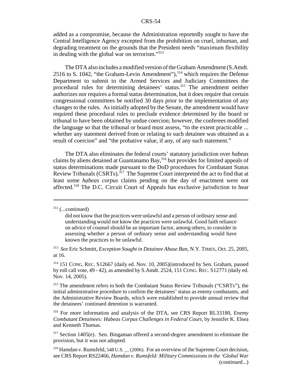added as a compromise, because the Administration reportedly sought to have the Central Intelligence Agency excepted from the prohibition on cruel, inhuman, and degrading treatment on the grounds that the President needs "maximum flexibility in dealing with the global war on terrorism."313

The DTA also includes a modified version of the Graham Amendment (S.Amdt. 2516 to S. 1042, "the Graham-Levin Amendment"), $3^{14}$  which requires the Defense Department to submit to the Armed Services and Judiciary Committees the procedural rules for determining detainees' status.<sup>315</sup> The amendment neither authorizes nor requires a formal status determination, but it does require that certain congressional committees be notified 30 days prior to the implementation of any changes to the rules. As initially adopted by the Senate, the amendment would have required these procedural rules to preclude evidence determined by the board or tribunal to have been obtained by undue coercion; however, the conferees modified the language so that the tribunal or board must assess, "to the extent practicable ... whether any statement derived from or relating to such detainee was obtained as a result of coercion" and "the probative value, if any, of any such statement."

The DTA also eliminates the federal courts' statutory jurisdiction over *habeas* claims by aliens detained at Guantanamo Bay,316 but provides for limited appeals of status determinations made pursuant to the DoD procedures for Combatant Status Review Tribunals  $(CSRTs)$ .<sup>317</sup> The Supreme Court interpreted the act to find that at least some *habeas corpus* claims pending on the day of enactment were not affected.318 The D.C. Circuit Court of Appeals has exclusive jurisdiction to hear

 $312$  (...continued)

did not know that the practices were unlawful and a person of ordinary sense and understanding would not know the practices were unlawful. Good faith reliance on advice of counsel should be an important factor, among others, to consider in assessing whether a person of ordinary sense and understanding would have known the practices to be unlawful.

<sup>313</sup> *See* Eric Schmitt, *Exception Sought in Detainee Abuse Ban*, N.Y. TIMES, Oct. 25, 2005, at 16.

<sup>314 151</sup> CONG. REC. S12667 (daily ed. Nov. 10, 2005)(introduced by Sen. Graham, passed by roll call vote, 49 - 42), as amended by S.Amdt. 2524, 151 CONG. REC. S12771 (daily ed. Nov. 14, 2005).

<sup>&</sup>lt;sup>315</sup> The amendment refers to both the Combatant Status Review Tribunals ("CSRTs"), the initial administrative procedure to confirm the detainees' status as enemy combatants, and the Administrative Review Boards, which were established to provide annual review that the detainees' continued detention is warranted.

<sup>316</sup> For more information and analysis of the DTA, see CRS Report RL33180, *Enemy Combatant Detainees: Habeas Corpus Challenges in Federal Court*, by Jennifer K. Elsea and Kenneth Thomas.

 $317$  Section 1405(e). Sen. Bingaman offered a second-degree amendment to eliminate the provision, but it was not adopted.

<sup>&</sup>lt;sup>318</sup> Hamdan v. Rumsfeld, 548 U.S. \_\_ (2006). For an overview of the Supreme Court decision, see CRS Report RS22466, *Hamdan v. Rumsfeld: Military Commissions in the 'Global War* (continued...)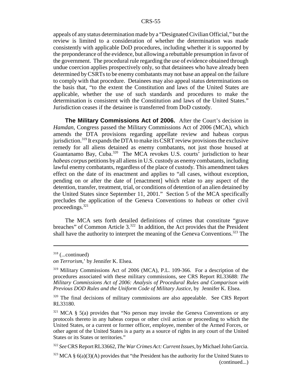appeals of any status determination made by a "Designated Civilian Official," but the review is limited to a consideration of whether the determination was made consistently with applicable DoD procedures, including whether it is supported by the preponderance of the evidence, but allowing a rebuttable presumption in favor of the government. The procedural rule regarding the use of evidence obtained through undue coercion applies prospectively only, so that detainees who have already been determined by CSRTs to be enemy combatants may not base an appeal on the failure to comply with that procedure. Detainees may also appeal status determinations on the basis that, "to the extent the Constitution and laws of the United States are applicable, whether the use of such standards and procedures to make the determination is consistent with the Constitution and laws of the United States." Jurisdiction ceases if the detainee is transferred from DoD custody.

**The Military Commissions Act of 2006.** After the Court's decision in *Hamdan*, Congress passed the Military Commissions Act of 2006 (MCA), which amends the DTA provisions regarding appellate review and habeas corpus jurisdiction.319 It expands the DTA to make its CSRT review provisions the exclusive remedy for all aliens detained as enemy combatants, not just those housed at Guantanamo Bay, Cuba.<sup>320</sup> The MCA revokes U.S. courts' jurisdiction to hear *habeas corpus* petitions by all aliens in U.S. custody as enemy combatants, including lawful enemy combatants, regardless of the place of custody. This amendment takes effect on the date of its enactment and applies to "all cases, without exception, pending on or after the date of [enactment] which relate to any aspect of the detention, transfer, treatment, trial, or conditions of detention of an alien detained by the United States since September 11, 2001." Section 5 of the MCA specifically precludes the application of the Geneva Conventions to *habeas* or other civil proceedings.321

The MCA sets forth detailed definitions of crimes that constitute "grave breaches" of Common Article 3.<sup>322</sup> In addition, the Act provides that the President shall have the authority to interpret the meaning of the Geneva Conventions.<sup>323</sup> The

 $318$  (...continued)

*on Terrorism*,' by Jennifer K. Elsea.

<sup>319</sup> Military Commissions Act of 2006 (MCA), P.L. 109-366. For a description of the procedures associated with these military commissions, see CRS Report RL33688: *The Military Commissions Act of 2006: Analysis of Procedural Rules and Comparison with Previous DOD Rules and the Uniform Code of Military Justice*, by Jennifer K. Elsea.

<sup>&</sup>lt;sup>320</sup> The final decisions of military commissions are also appealable. See CRS Report RL33180.

 $321$  MCA § 5(a) provides that "No person may invoke the Geneva Conventions or any protocols thereto in any habeas corpus or other civil action or proceeding to which the United States, or a current or former officer, employee, member of the Armed Forces, or other agent of the United States is a party as a source of rights in any court of the United States or its States or territories."

<sup>322</sup> *See* CRS Report RL33662, *The War Crimes Act: Current Issues*, by Michael John Garcia.

<sup>&</sup>lt;sup>323</sup> MCA §  $6(a)(3)(A)$  provides that "the President has the authority for the United States to (continued...)